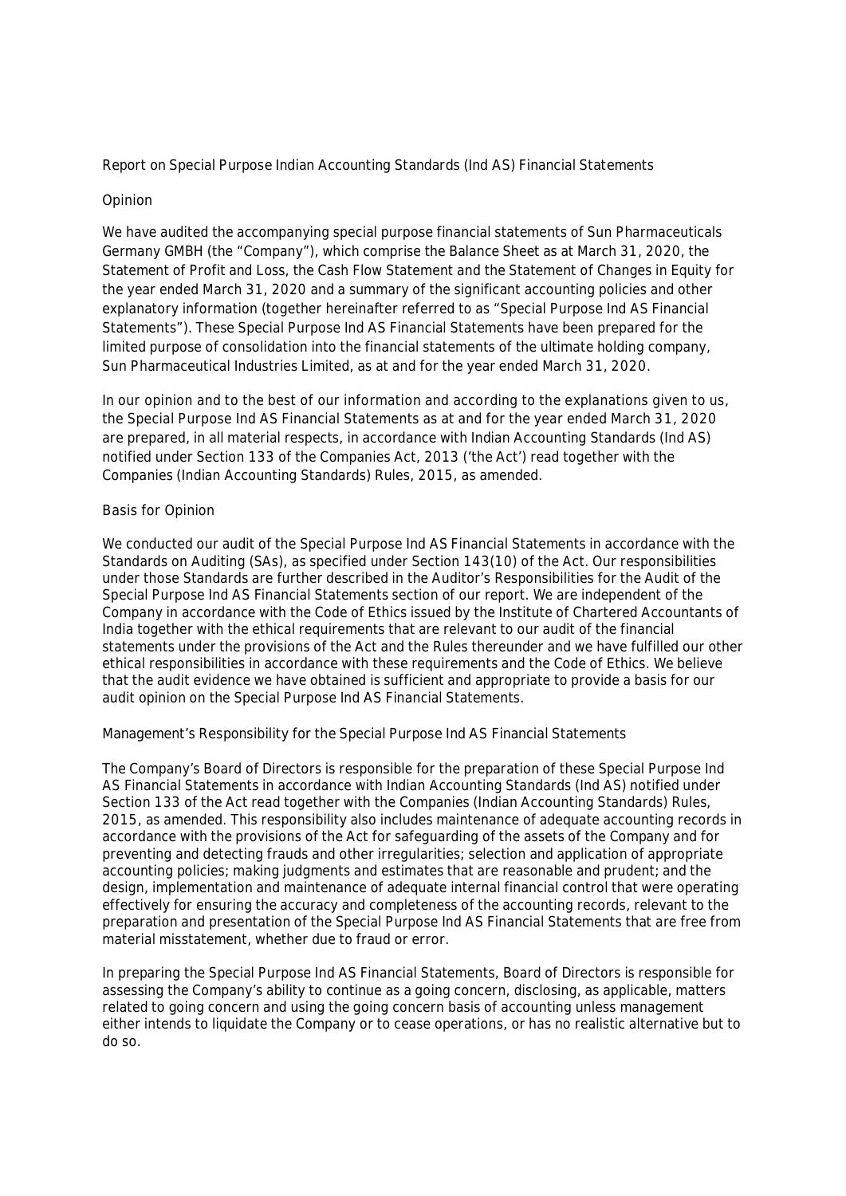**Report on Special Purpose Indian Accounting Standards (Ind AS) Financial Statements**

# **Opinion**

We have audited the accompanying special purpose financial statements of Sun Pharmaceuticals Germany GMBH (the "Company"), which comprise the Balance Sheet as at March 31, 2020, the Statement of Profit and Loss, the Cash Flow Statement and the Statement of Changes in Equity for the year ended March 31, 2020 and a summary of the significant accounting policies and other explanatory information (together hereinafter referred to as "Special Purpose Ind AS Financial Statements"). These Special Purpose Ind AS Financial Statements have been prepared for the limited purpose of consolidation into the financial statements of the ultimate holding company, Sun Pharmaceutical Industries Limited, as at and for the year ended March 31, 2020.

In our opinion and to the best of our information and according to the explanations given to us, the Special Purpose Ind AS Financial Statements as at and for the year ended March 31, 2020 are prepared, in all material respects, in accordance with Indian Accounting Standards (Ind AS) notified under Section 133 of the Companies Act, 2013 ('the Act') read together with the Companies (Indian Accounting Standards) Rules, 2015, as amended.

# **Basis for Opinion**

We conducted our audit of the Special Purpose Ind AS Financial Statements in accordance with the Standards on Auditing (SAs), as specified under Section 143(10) of the Act. Our responsibilities under those Standards are further described in the Auditor's Responsibilities for the Audit of the Special Purpose Ind AS Financial Statements section of our report. We are independent of the Company in accordance with the Code of Ethics issued by the Institute of Chartered Accountants of India together with the ethical requirements that are relevant to our audit of the financial statements under the provisions of the Act and the Rules thereunder and we have fulfilled our other ethical responsibilities in accordance with these requirements and the Code of Ethics. We believe that the audit evidence we have obtained is sufficient and appropriate to provide a basis for our audit opinion on the Special Purpose Ind AS Financial Statements.

# **Management's Responsibility for the Special Purpose Ind AS Financial Statements**

The Company's Board of Directors is responsible for the preparation of these Special Purpose Ind AS Financial Statements in accordance with Indian Accounting Standards (Ind AS) notified under Section 133 of the Act read together with the Companies (Indian Accounting Standards) Rules, 2015, as amended. This responsibility also includes maintenance of adequate accounting records in accordance with the provisions of the Act for safeguarding of the assets of the Company and for preventing and detecting frauds and other irregularities; selection and application of appropriate accounting policies; making judgments and estimates that are reasonable and prudent; and the design, implementation and maintenance of adequate internal financial control that were operating effectively for ensuring the accuracy and completeness of the accounting records, relevant to the preparation and presentation of the Special Purpose Ind AS Financial Statements that are free from material misstatement, whether due to fraud or error.

In preparing the Special Purpose Ind AS Financial Statements, Board of Directors is responsible for assessing the Company's ability to continue as a going concern, disclosing, as applicable, matters related to going concern and using the going concern basis of accounting unless management either intends to liquidate the Company or to cease operations, or has no realistic alternative but to do so.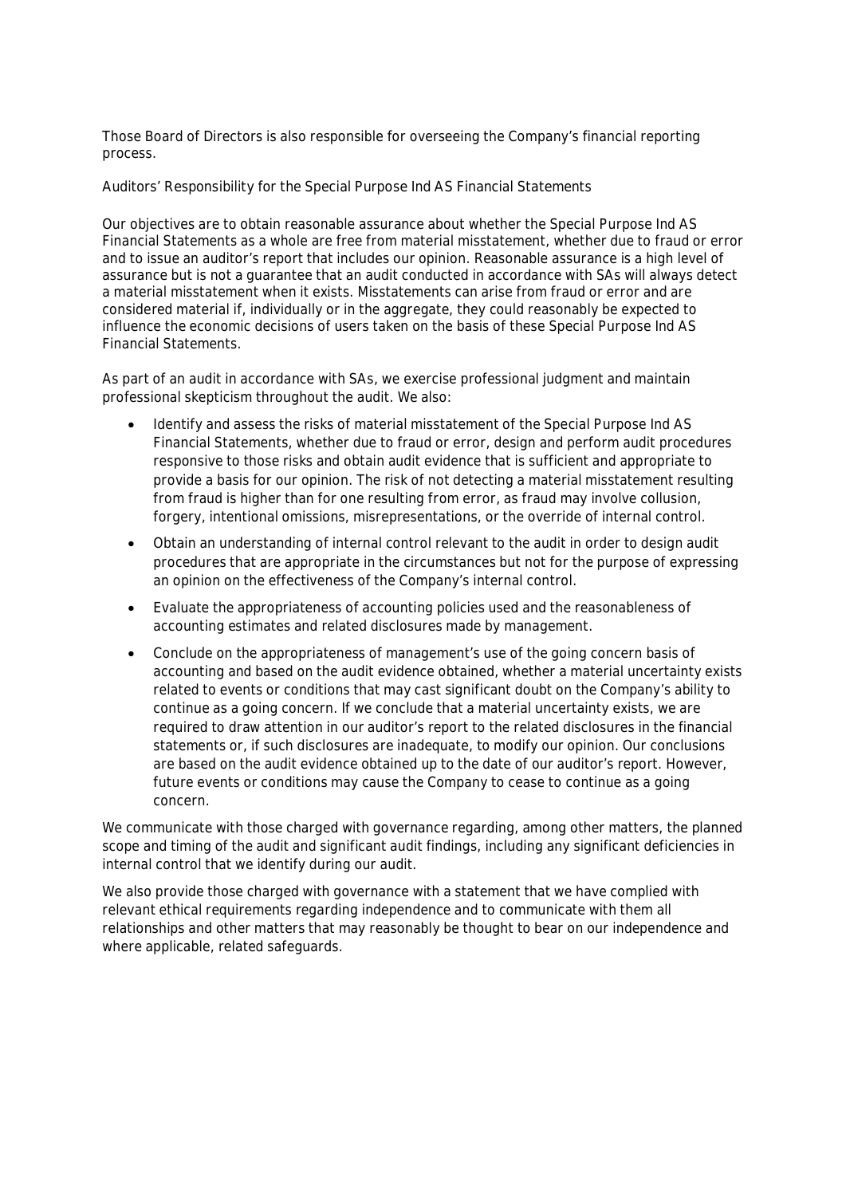Those Board of Directors is also responsible for overseeing the Company's financial reporting process.

**Auditors' Responsibility for the Special Purpose Ind AS Financial Statements**

Our objectives are to obtain reasonable assurance about whether the Special Purpose Ind AS Financial Statements as a whole are free from material misstatement, whether due to fraud or error and to issue an auditor's report that includes our opinion. Reasonable assurance is a high level of assurance but is not a guarantee that an audit conducted in accordance with SAs will always detect a material misstatement when it exists. Misstatements can arise from fraud or error and are considered material if, individually or in the aggregate, they could reasonably be expected to influence the economic decisions of users taken on the basis of these Special Purpose Ind AS Financial Statements.

As part of an audit in accordance with SAs, we exercise professional judgment and maintain professional skepticism throughout the audit. We also:

- Identify and assess the risks of material misstatement of the Special Purpose Ind AS Financial Statements, whether due to fraud or error, design and perform audit procedures responsive to those risks and obtain audit evidence that is sufficient and appropriate to provide a basis for our opinion. The risk of not detecting a material misstatement resulting from fraud is higher than for one resulting from error, as fraud may involve collusion, forgery, intentional omissions, misrepresentations, or the override of internal control.
- Obtain an understanding of internal control relevant to the audit in order to design audit procedures that are appropriate in the circumstances but not for the purpose of expressing an opinion on the effectiveness of the Company's internal control.
- Evaluate the appropriateness of accounting policies used and the reasonableness of accounting estimates and related disclosures made by management.
- Conclude on the appropriateness of management's use of the going concern basis of accounting and based on the audit evidence obtained, whether a material uncertainty exists related to events or conditions that may cast significant doubt on the Company's ability to continue as a going concern. If we conclude that a material uncertainty exists, we are required to draw attention in our auditor's report to the related disclosures in the financial statements or, if such disclosures are inadequate, to modify our opinion. Our conclusions are based on the audit evidence obtained up to the date of our auditor's report. However, future events or conditions may cause the Company to cease to continue as a going concern.

We communicate with those charged with governance regarding, among other matters, the planned scope and timing of the audit and significant audit findings, including any significant deficiencies in internal control that we identify during our audit.

We also provide those charged with governance with a statement that we have complied with relevant ethical requirements regarding independence and to communicate with them all relationships and other matters that may reasonably be thought to bear on our independence and where applicable, related safeguards.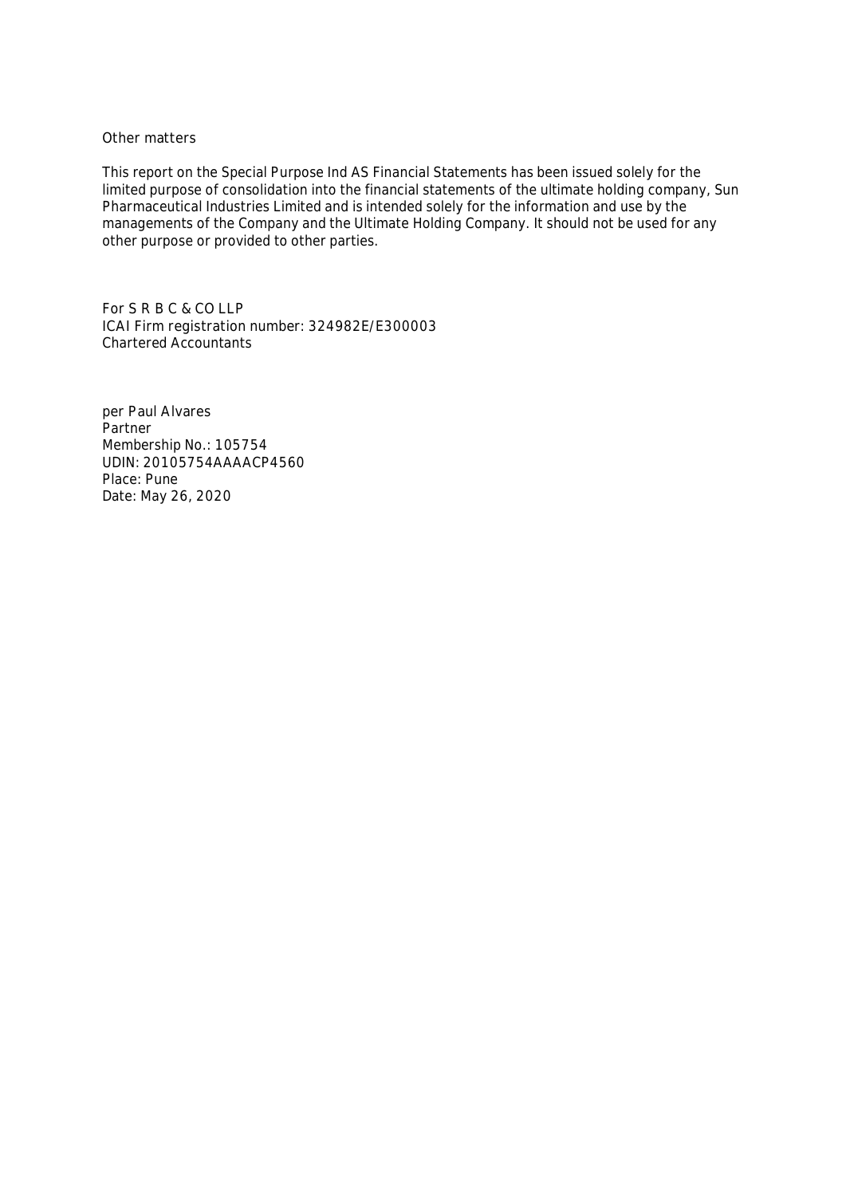**Other matters**

This report on the Special Purpose Ind AS Financial Statements has been issued solely for the limited purpose of consolidation into the financial statements of the ultimate holding company, Sun Pharmaceutical Industries Limited and is intended solely for the information and use by the managements of the Company and the Ultimate Holding Company. It should not be used for any other purpose or provided to other parties.

**For S R B C & CO LLP ICAI Firm registration number:** 324982E/E300003 Chartered Accountants

**per Paul Alvares** .<br>Partner Membership No.: 105754 UDIN: 20105754AAAACP4560 Place: Pune Date: May 26, 2020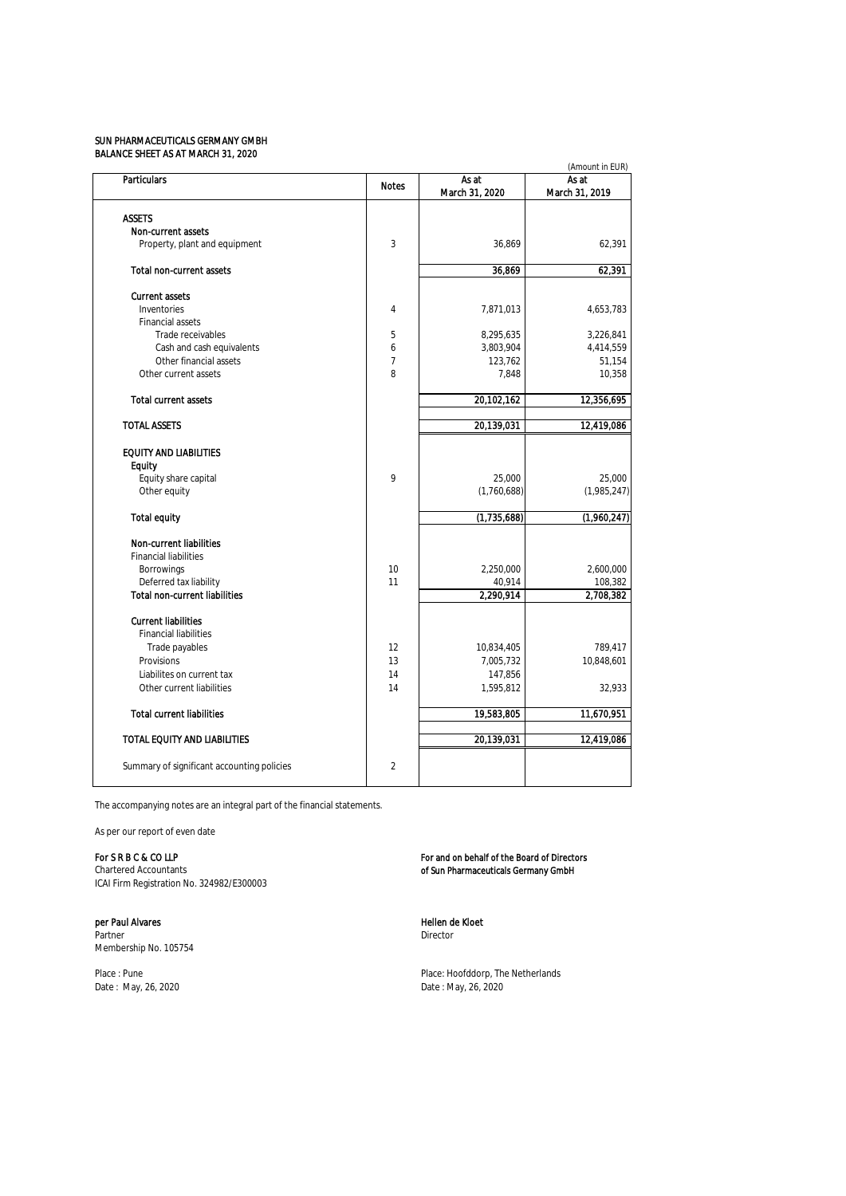#### SUN PHARMACEUTICALS GERMANY GMBH BALANCE SHEET AS AT MARCH 31, 2020

| <b>Particulars</b>                         | <b>Notes</b>   | As at<br>March 31, 2020 | As at<br>March 31, 2019 |
|--------------------------------------------|----------------|-------------------------|-------------------------|
| <b>ASSETS</b>                              |                |                         |                         |
| Non-current assets                         |                |                         |                         |
| Property, plant and equipment              | 3              | 36,869                  | 62,391                  |
| <b>Total non-current assets</b>            |                | 36.869                  | 62.391                  |
|                                            |                |                         |                         |
| <b>Current assets</b>                      |                |                         |                         |
| Inventories                                | 4              | 7,871,013               | 4,653,783               |
| <b>Financial assets</b>                    |                |                         |                         |
| Trade receivables                          | 5              | 8,295,635               | 3,226,841               |
| Cash and cash equivalents                  | 6              | 3,803,904               | 4,414,559               |
| Other financial assets                     | $\overline{7}$ | 123,762                 | 51,154                  |
| Other current assets                       | 8              | 7,848                   | 10,358                  |
| <b>Total current assets</b>                |                | 20,102,162              | 12,356,695              |
|                                            |                |                         |                         |
| <b>TOTAL ASSETS</b>                        |                | 20,139,031              | 12,419,086              |
| <b>EQUITY AND LIABILITIES</b>              |                |                         |                         |
| Equity                                     |                |                         |                         |
| Equity share capital                       | 9              | 25,000                  | 25,000                  |
| Other equity                               |                | (1,760,688)             | (1,985,247)             |
| <b>Total equity</b>                        |                | (1,735,688)             | (1,960,247)             |
| Non-current liabilities                    |                |                         |                         |
| <b>Financial liabilities</b>               |                |                         |                         |
| <b>Borrowings</b>                          | 10             | 2,250,000               | 2,600,000               |
| Deferred tax liability                     | 11             | 40,914                  | 108,382                 |
| <b>Total non-current liabilities</b>       |                | 2,290,914               | 2,708,382               |
| <b>Current liabilities</b>                 |                |                         |                         |
| <b>Financial liabilities</b>               |                |                         |                         |
| Trade payables                             | 12             | 10,834,405              | 789,417                 |
| Provisions                                 | 13             | 7,005,732               | 10,848,601              |
| Liabilites on current tax                  | 14             | 147,856                 |                         |
| Other current liabilities                  | 14             |                         | 32,933                  |
|                                            |                | 1,595,812               |                         |
| <b>Total current liabilities</b>           |                | 19,583,805              | 11,670,951              |
| TOTAL EQUITY AND LIABILITIES               |                | 20,139,031              | 12,419,086              |
| Summary of significant accounting policies | $\overline{2}$ |                         |                         |

The accompanying notes are an integral part of the financial statements.

As per our report of even date

ICAI Firm Registration No. 324982/E300003

**per Paul Alvares Expansion Community Community Community Community Community Community Community Community Community Community Community Community Community Community Community Community Community Community Community Comm** Partner Director Membership No. 105754

Date : May, 26, 2020 Date : May, 26, 2020

For SR B C & CO LLP<br>
Chartered Accountants<br>
Chartered Accountants of Sun Pharmaceuticals Germany GmbH

Place : Pune Place : Pune Place : Pune Place : Hoofddorp, The Netherlands<br>
Date : May, 26, 2020<br>
Date : May, 26, 2020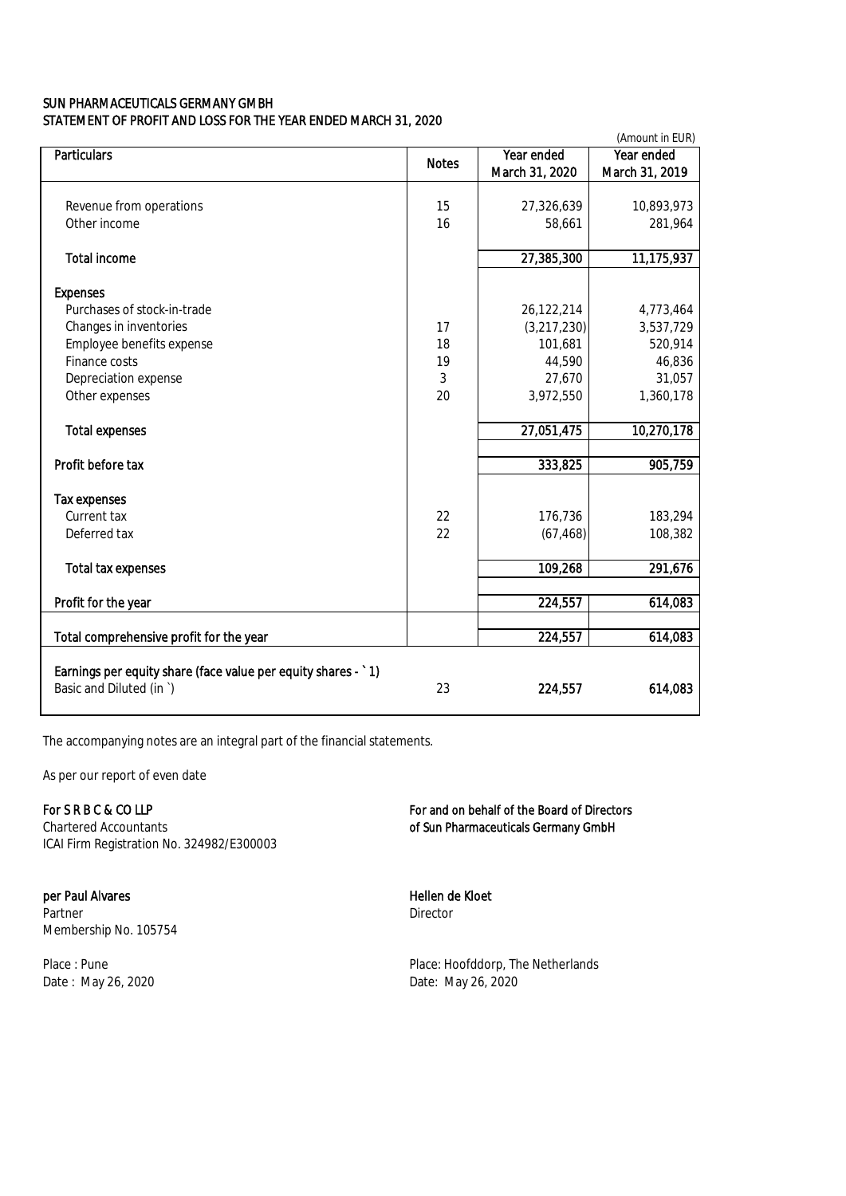# SUN PHARMACEUTICALS GERMANY GMBH STATEMENT OF PROFIT AND LOSS FOR THE YEAR ENDED MARCH 31, 2020

|                                                                                            |              |                | (Amount in EUR) |
|--------------------------------------------------------------------------------------------|--------------|----------------|-----------------|
| <b>Particulars</b>                                                                         | <b>Notes</b> | Year ended     | Year ended      |
|                                                                                            |              | March 31, 2020 | March 31, 2019  |
|                                                                                            |              |                |                 |
| Revenue from operations                                                                    | 15           | 27,326,639     | 10,893,973      |
| Other income                                                                               | 16           | 58,661         | 281,964         |
|                                                                                            |              |                |                 |
| <b>Total income</b>                                                                        |              | 27,385,300     | 11,175,937      |
|                                                                                            |              |                |                 |
| <b>Expenses</b>                                                                            |              |                |                 |
| Purchases of stock-in-trade                                                                |              | 26,122,214     | 4,773,464       |
| Changes in inventories                                                                     | 17           | (3,217,230)    | 3,537,729       |
| Employee benefits expense                                                                  | 18           | 101,681        | 520,914         |
| Finance costs                                                                              | 19           | 44,590         | 46,836          |
| Depreciation expense                                                                       | 3            | 27,670         | 31,057          |
| Other expenses                                                                             | 20           | 3,972,550      | 1,360,178       |
| <b>Total expenses</b>                                                                      |              | 27,051,475     | 10,270,178      |
|                                                                                            |              |                |                 |
| Profit before tax                                                                          |              | 333,825        | 905,759         |
|                                                                                            |              |                |                 |
| Tax expenses                                                                               |              |                |                 |
| Current tax                                                                                | 22           | 176,736        | 183,294         |
| Deferred tax                                                                               | 22           | (67, 468)      | 108,382         |
| <b>Total tax expenses</b>                                                                  |              | 109,268        | 291,676         |
|                                                                                            |              |                |                 |
| Profit for the year                                                                        |              | 224,557        | 614,083         |
|                                                                                            |              |                |                 |
| Total comprehensive profit for the year                                                    |              | 224,557        | 614,083         |
|                                                                                            |              |                |                 |
| Earnings per equity share (face value per equity shares - ` 1)<br>Basic and Diluted (in `) | 23           | 224,557        | 614,083         |
|                                                                                            |              |                |                 |

The accompanying notes are an integral part of the financial statements.

As per our report of even date

Chartered Accountants **Chartered Accountants** of Sun Pharmaceuticals Germany GmbH ICAI Firm Registration No. 324982/E300003

per Paul Alvares **Hellen de Kloet** Partner Director Membership No. 105754

# For S R B C & CO LLP For and on behalf of the Board of Directors

Place : Pune Place : Pune Place: Hoofddorp, The Netherlands Date: May 26, 2020 **Date: May 26, 2020**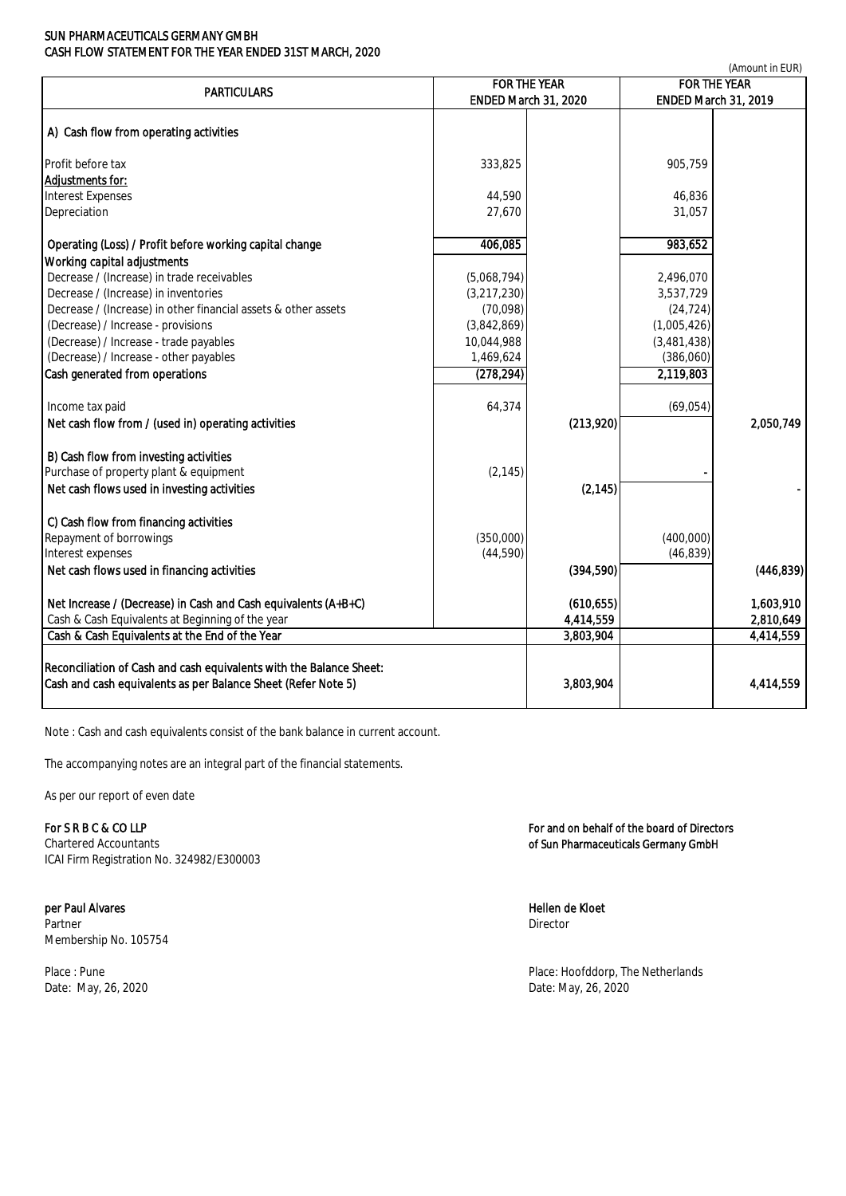#### SUN PHARMACEUTICALS GERMANY GMBH CASH FLOW STATEMENT FOR THE YEAR ENDED 31ST MARCH, 2020

|                                                                     |                                             |            |             | (Amount in EUR)                             |  |
|---------------------------------------------------------------------|---------------------------------------------|------------|-------------|---------------------------------------------|--|
| <b>PARTICULARS</b>                                                  | <b>FOR THE YEAR</b><br>ENDED March 31, 2020 |            |             | <b>FOR THE YEAR</b><br>ENDED March 31, 2019 |  |
|                                                                     |                                             |            |             |                                             |  |
| A) Cash flow from operating activities                              |                                             |            |             |                                             |  |
| Profit before tax                                                   | 333,825                                     |            | 905,759     |                                             |  |
| Adjustments for:                                                    |                                             |            |             |                                             |  |
| <b>Interest Expenses</b>                                            | 44,590                                      |            | 46,836      |                                             |  |
| Depreciation                                                        | 27,670                                      |            | 31,057      |                                             |  |
| Operating (Loss) / Profit before working capital change             | 406,085                                     |            | 983,652     |                                             |  |
| Working capital adjustments                                         |                                             |            |             |                                             |  |
| Decrease / (Increase) in trade receivables                          | (5,068,794)                                 |            | 2,496,070   |                                             |  |
| Decrease / (Increase) in inventories                                | (3, 217, 230)                               |            | 3,537,729   |                                             |  |
| Decrease / (Increase) in other financial assets & other assets      | (70,098)                                    |            | (24, 724)   |                                             |  |
| (Decrease) / Increase - provisions                                  | (3,842,869)                                 |            | (1,005,426) |                                             |  |
| (Decrease) / Increase - trade payables                              | 10,044,988                                  |            | (3,481,438) |                                             |  |
| (Decrease) / Increase - other payables                              | 1,469,624                                   |            | (386,060)   |                                             |  |
| Cash generated from operations                                      | (278, 294)                                  |            | 2,119,803   |                                             |  |
| Income tax paid                                                     | 64,374                                      |            | (69, 054)   |                                             |  |
| Net cash flow from / (used in) operating activities                 |                                             | (213,920)  |             | 2,050,749                                   |  |
| B) Cash flow from investing activities                              |                                             |            |             |                                             |  |
| Purchase of property plant & equipment                              | (2, 145)                                    |            |             |                                             |  |
| Net cash flows used in investing activities                         |                                             | (2, 145)   |             |                                             |  |
| C) Cash flow from financing activities                              |                                             |            |             |                                             |  |
| Repayment of borrowings                                             | (350,000)                                   |            | (400,000)   |                                             |  |
| Interest expenses                                                   | (44, 590)                                   |            | (46, 839)   |                                             |  |
| Net cash flows used in financing activities                         |                                             | (394, 590) |             | (446, 839)                                  |  |
| Net Increase / (Decrease) in Cash and Cash equivalents (A+B+C)      |                                             | (610, 655) |             | 1,603,910                                   |  |
| Cash & Cash Equivalents at Beginning of the year                    |                                             | 4,414,559  |             | 2,810,649                                   |  |
| Cash & Cash Equivalents at the End of the Year                      |                                             | 3,803,904  |             | 4,414,559                                   |  |
| Reconciliation of Cash and cash equivalents with the Balance Sheet: |                                             |            |             |                                             |  |
| Cash and cash equivalents as per Balance Sheet (Refer Note 5)       |                                             | 3,803,904  |             | 4,414,559                                   |  |
|                                                                     |                                             |            |             |                                             |  |

Note : Cash and cash equivalents consist of the bank balance in current account.

The accompanying notes are an integral part of the financial statements.

As per our report of even date

ICAI Firm Registration No. 324982/E300003

# per Paul Alvares **Hellen de Kloet**

Partner Director (2001) 2012 12:00:00 Partner Director (2002) 2013 12:00:00 Partner Director (2002) 2013 12:00 Membership No. 105754

Date: May, 26, 2020 Date: May, 26, 2020

For S R B C & CO LLP<br>
Chartered Accountants<br>
Chartered Accountants<br>
Chartered Accountants of Sun Pharmaceuticals Germany GmbH

Place : Pune Place : Pune Place : Pune Place : Hoofddorp, The Netherlands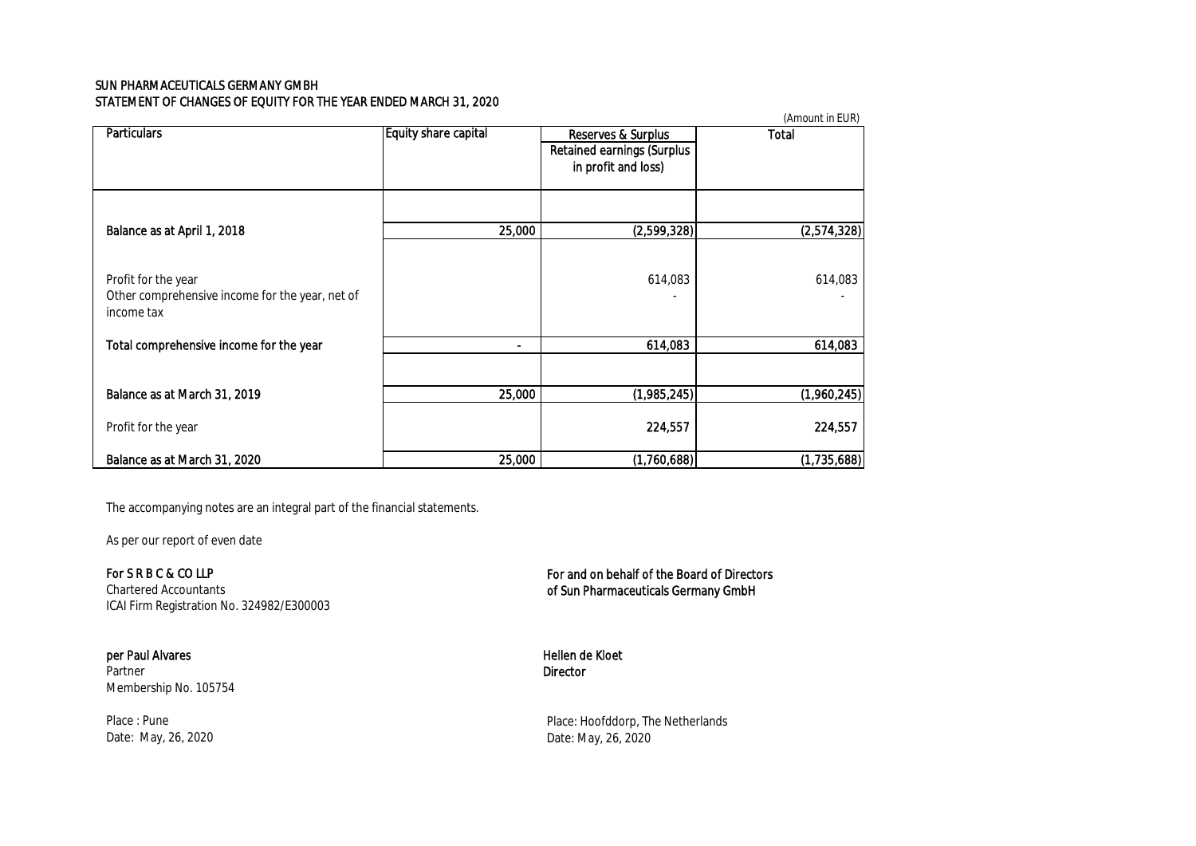# SUN PHARMACEUTICALS GERMANY GMBH

STATEMENT OF CHANGES OF EQUITY FOR THE YEAR ENDED MARCH 31, 2020

|                                                 |                      |                                   | (Amount in EUR) |
|-------------------------------------------------|----------------------|-----------------------------------|-----------------|
| <b>Particulars</b>                              | Equity share capital | Reserves & Surplus                | Total           |
|                                                 |                      | <b>Retained earnings (Surplus</b> |                 |
|                                                 |                      | in profit and loss)               |                 |
|                                                 |                      |                                   |                 |
|                                                 |                      |                                   |                 |
| Balance as at April 1, 2018                     | 25,000               | (2,599,328)                       | (2,574,328)     |
|                                                 |                      |                                   |                 |
| Profit for the year                             |                      | 614,083                           | 614,083         |
| Other comprehensive income for the year, net of |                      |                                   |                 |
| income tax                                      |                      |                                   |                 |
|                                                 |                      |                                   |                 |
| Total comprehensive income for the year         | $\blacksquare$       | 614,083                           | 614,083         |
|                                                 |                      |                                   |                 |
| Balance as at March 31, 2019                    | 25,000               | (1,985,245)                       | (1,960,245)     |
| Profit for the year                             |                      | 224,557                           | 224,557         |
|                                                 |                      |                                   |                 |
| Balance as at March 31, 2020                    | 25,000               | (1,760,688)                       | (1,735,688)     |

The accompanying notes are an integral part of the financial statements.

As per our report of even date

ICAI Firm Registration No. 324982/E300003

Partner **Director Director** Membership No. 105754

For S R B C & CO LLP<br>
Chartered Accountants<br>
Chartered Accountants of Sun Pharmaceuticals Germany GmbH

per Paul Alvares de la commune de la commune de la commune de la commune de la commune de la commune de Kloet<br>Partner de la commune de la commune de la commune de la commune de la commune de la commune de la commune de l

Place : Pune Place : Pune Place : Pune Place : Hoofddorp, The Netherlands<br>Date: May, 26, 2020 Date: May, 26, 2020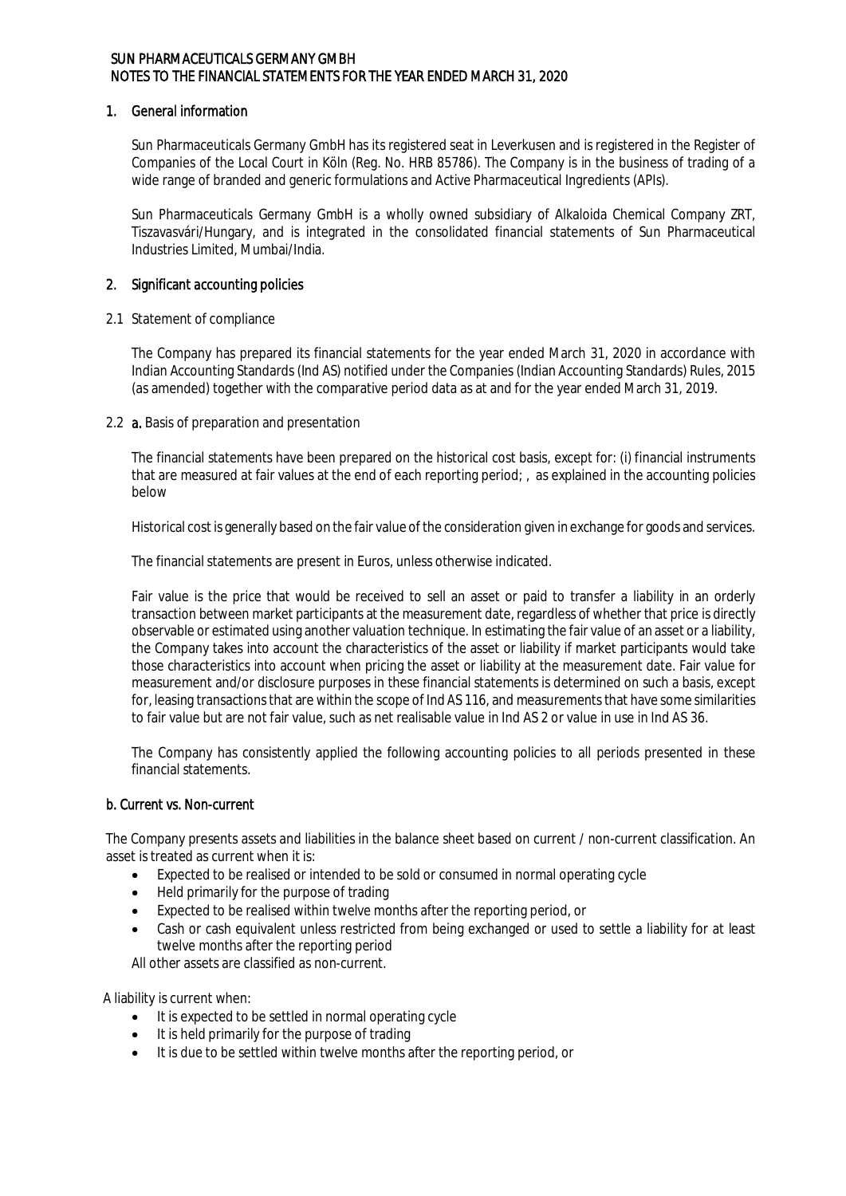# 1. General information

Sun Pharmaceuticals Germany GmbH has its registered seat in Leverkusen and is registered in the Register of Companies of the Local Court in Köln (Reg. No. HRB 85786). The Company is in the business of trading of a wide range of branded and generic formulations and Active Pharmaceutical Ingredients (APIs).

Sun Pharmaceuticals Germany GmbH is a wholly owned subsidiary of Alkaloida Chemical Company ZRT, Tiszavasvári/Hungary, and is integrated in the consolidated financial statements of Sun Pharmaceutical Industries Limited, Mumbai/India.

# 2. Significant accounting policies

### 2.1 Statement of compliance

The Company has prepared its financial statements for the year ended March 31, 2020 in accordance with Indian Accounting Standards (Ind AS) notified under the Companies (Indian Accounting Standards) Rules, 2015 (as amended) together with the comparative period data as at and for the year ended March 31, 2019.

# 2.2 **a.** Basis of preparation and presentation

The financial statements have been prepared on the historical cost basis, except for: (i) financial instruments that are measured at fair values at the end of each reporting period; , as explained in the accounting policies below

Historical cost is generally based on the fair value of the consideration given in exchange for goods and services.

The financial statements are present in Euros, unless otherwise indicated.

Fair value is the price that would be received to sell an asset or paid to transfer a liability in an orderly transaction between market participants at the measurement date, regardless of whether that price is directly observable or estimated using another valuation technique. In estimating the fair value of an asset or a liability, the Company takes into account the characteristics of the asset or liability if market participants would take those characteristics into account when pricing the asset or liability at the measurement date. Fair value for measurement and/or disclosure purposes in these financial statements is determined on such a basis, except for, leasing transactions that are within the scope of Ind AS 116, and measurements that have some similarities to fair value but are not fair value, such as net realisable value in Ind AS 2 or value in use in Ind AS 36.

The Company has consistently applied the following accounting policies to all periods presented in these financial statements.

# *b. Current vs. Non-current*

The Company presents assets and liabilities in the balance sheet based on current / non-current classification. An asset is treated as current when it is:

- Expected to be realised or intended to be sold or consumed in normal operating cycle
- Held primarily for the purpose of trading
- Expected to be realised within twelve months after the reporting period, or
- Cash or cash equivalent unless restricted from being exchanged or used to settle a liability for at least twelve months after the reporting period

All other assets are classified as non-current.

A liability is current when:

- It is expected to be settled in normal operating cycle
- It is held primarily for the purpose of trading
- It is due to be settled within twelve months after the reporting period, or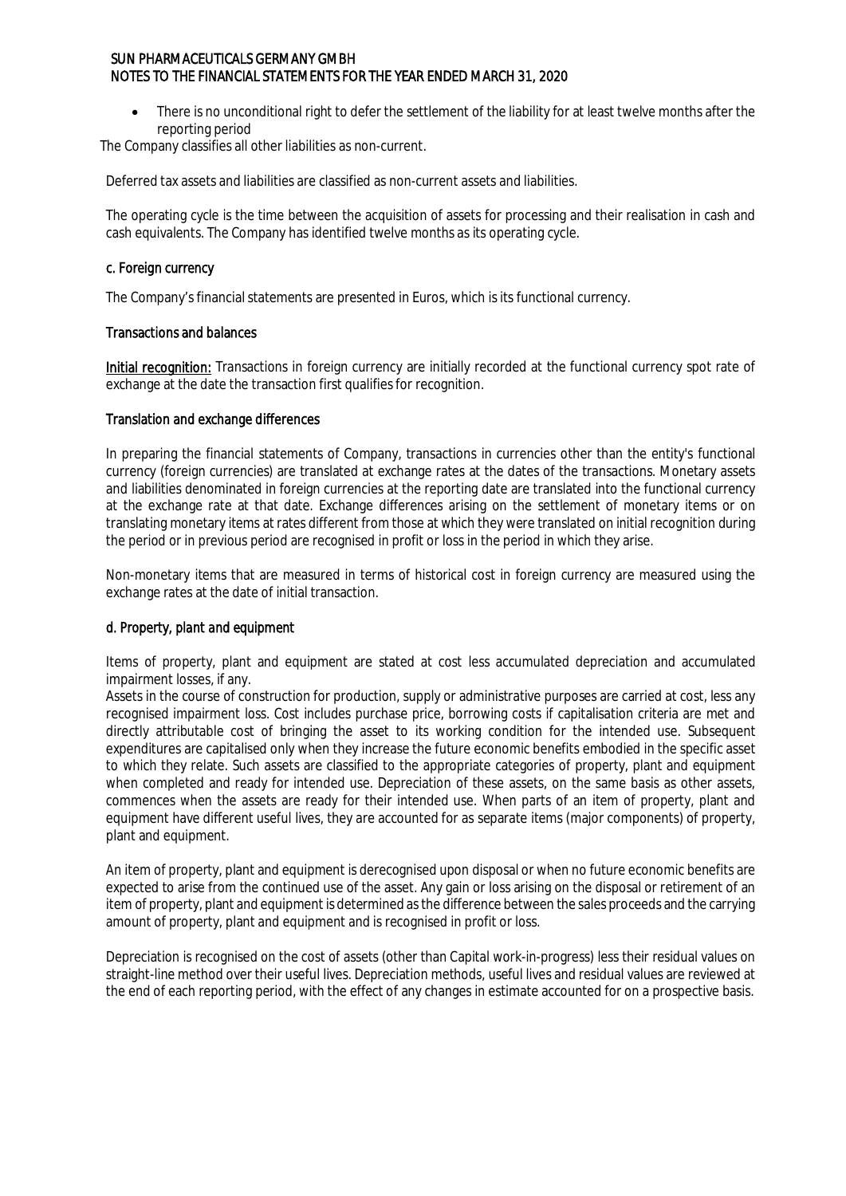There is no unconditional right to defer the settlement of the liability for at least twelve months after the reporting period

The Company classifies all other liabilities as non-current.

Deferred tax assets and liabilities are classified as non-current assets and liabilities.

The operating cycle is the time between the acquisition of assets for processing and their realisation in cash and cash equivalents. The Company has identified twelve months as its operating cycle.

# *c. Foreign currency*

The Company's financial statements are presented in Euros, which is its functional currency.

# Transactions and balances

Initial recognition: Transactions in foreign currency are initially recorded at the functional currency spot rate of exchange at the date the transaction first qualifies for recognition.

# Translation and exchange differences

In preparing the financial statements of Company, transactions in currencies other than the entity's functional currency (foreign currencies) are translated at exchange rates at the dates of the transactions. Monetary assets and liabilities denominated in foreign currencies at the reporting date are translated into the functional currency at the exchange rate at that date. Exchange differences arising on the settlement of monetary items or on translating monetary items at rates different from those at which they were translated on initial recognition during the period or in previous period are recognised in profit or loss in the period in which they arise.

Non-monetary items that are measured in terms of historical cost in foreign currency are measured using the exchange rates at the date of initial transaction.

# *d. Property, plant and equipment*

Items of property, plant and equipment are stated at cost less accumulated depreciation and accumulated impairment losses, if any.

Assets in the course of construction for production, supply or administrative purposes are carried at cost, less any recognised impairment loss. Cost includes purchase price, borrowing costs if capitalisation criteria are met and directly attributable cost of bringing the asset to its working condition for the intended use. Subsequent expenditures are capitalised only when they increase the future economic benefits embodied in the specific asset to which they relate. Such assets are classified to the appropriate categories of property, plant and equipment when completed and ready for intended use. Depreciation of these assets, on the same basis as other assets, commences when the assets are ready for their intended use. When parts of an item of property, plant and equipment have different useful lives, they are accounted for as separate items (major components) of property, plant and equipment.

An item of property, plant and equipment is derecognised upon disposal or when no future economic benefits are expected to arise from the continued use of the asset. Any gain or loss arising on the disposal or retirement of an item of property, plant and equipment is determined as the difference between the sales proceeds and the carrying amount of property, plant and equipment and is recognised in profit or loss.

Depreciation is recognised on the cost of assets (other than Capital work-in-progress) less their residual values on straight-line method over their useful lives. Depreciation methods, useful lives and residual values are reviewed at the end of each reporting period, with the effect of any changes in estimate accounted for on a prospective basis.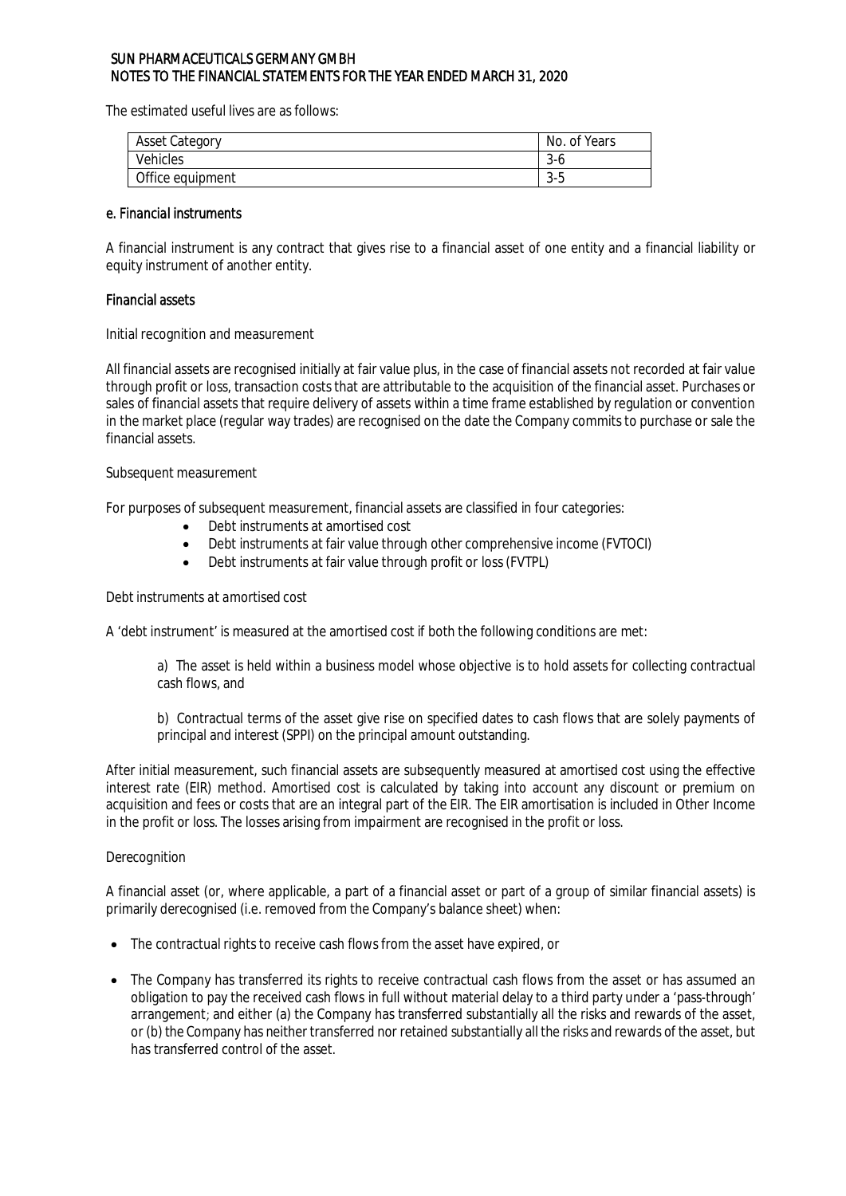The estimated useful lives are as follows:

| <b>Asset Category</b> | No. of Years   |
|-----------------------|----------------|
| Vehicles              | $\sim$<br>.ა-ხ |
| Office equipment      | $3-5$          |

# *e. Financial instruments*

A financial instrument is any contract that gives rise to a financial asset of one entity and a financial liability or equity instrument of another entity.

# Financial assets

Initial recognition and measurement

All financial assets are recognised initially at fair value plus, in the case of financial assets not recorded at fair value through profit or loss, transaction costs that are attributable to the acquisition of the financial asset. Purchases or sales of financial assets that require delivery of assets within a time frame established by regulation or convention in the market place (regular way trades) are recognised on the date the Company commits to purchase or sale the financial assets.

# Subsequent measurement

For purposes of subsequent measurement, financial assets are classified in four categories:

- Debt instruments at amortised cost
- Debt instruments at fair value through other comprehensive income (FVTOCI)
- Debt instruments at fair value through profit or loss (FVTPL)

### *Debt instruments at amortised cost*

A 'debt instrument' is measured at the amortised cost if both the following conditions are met:

a) The asset is held within a business model whose objective is to hold assets for collecting contractual cash flows, and

b) Contractual terms of the asset give rise on specified dates to cash flows that are solely payments of principal and interest (SPPI) on the principal amount outstanding.

After initial measurement, such financial assets are subsequently measured at amortised cost using the effective interest rate (EIR) method. Amortised cost is calculated by taking into account any discount or premium on acquisition and fees or costs that are an integral part of the EIR. The EIR amortisation is included in Other Income in the profit or loss. The losses arising from impairment are recognised in the profit or loss.

### *Derecognition*

A financial asset (or, where applicable, a part of a financial asset or part of a group of similar financial assets) is primarily derecognised (i.e. removed from the Company's balance sheet) when:

- The contractual rights to receive cash flows from the asset have expired, or
- The Company has transferred its rights to receive contractual cash flows from the asset or has assumed an obligation to pay the received cash flows in full without material delay to a third party under a 'pass-through' arrangement; and either (a) the Company has transferred substantially all the risks and rewards of the asset, or (b) the Company has neither transferred nor retained substantially all the risks and rewards of the asset, but has transferred control of the asset.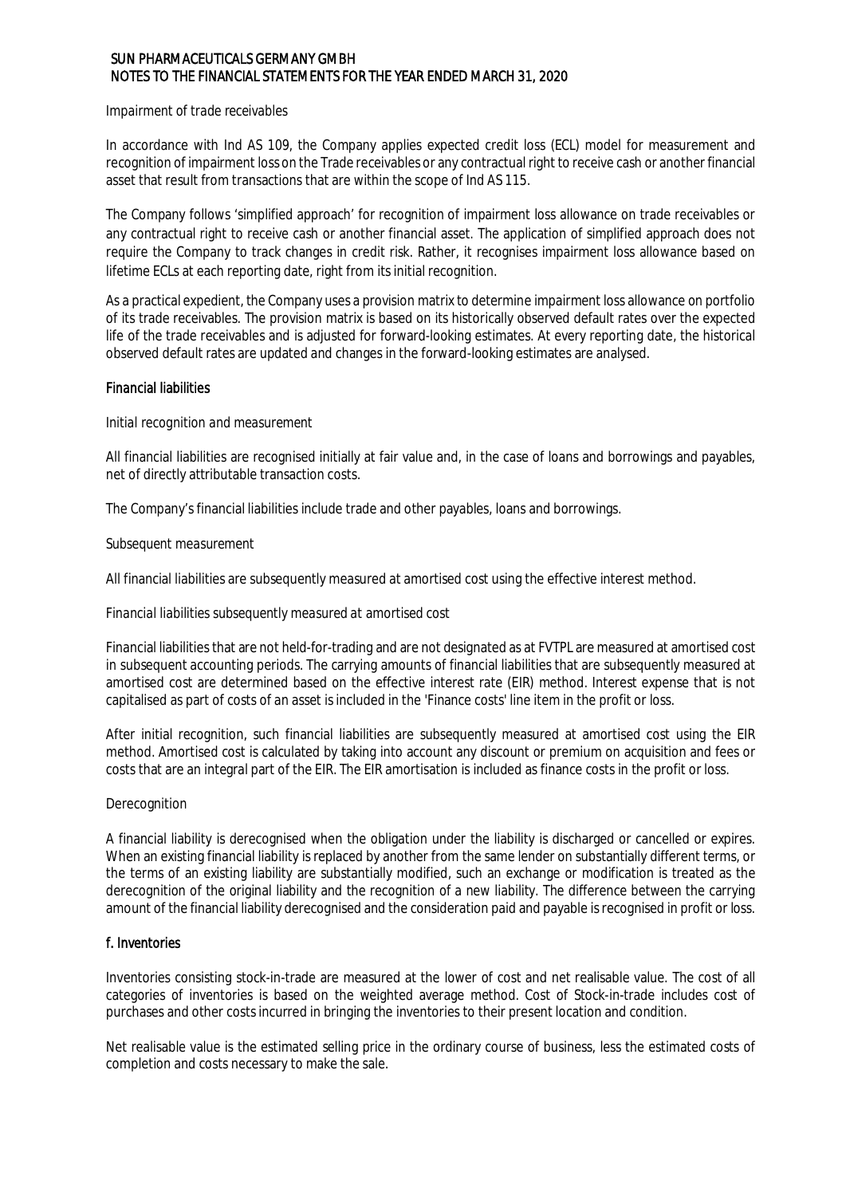#### *Impairment of trade receivables*

In accordance with Ind AS 109, the Company applies expected credit loss (ECL) model for measurement and recognition of impairment loss on the Trade receivables or any contractual right to receive cash or another financial asset that result from transactions that are within the scope of Ind AS 115.

The Company follows 'simplified approach' for recognition of impairment loss allowance on trade receivables or any contractual right to receive cash or another financial asset. The application of simplified approach does not require the Company to track changes in credit risk. Rather, it recognises impairment loss allowance based on lifetime ECLs at each reporting date, right from its initial recognition.

As a practical expedient, the Company uses a provision matrix to determine impairment loss allowance on portfolio of its trade receivables. The provision matrix is based on its historically observed default rates over the expected life of the trade receivables and is adjusted for forward-looking estimates. At every reporting date, the historical observed default rates are updated and changes in the forward-looking estimates are analysed.

# Financial liabilities

### *Initial recognition and measurement*

All financial liabilities are recognised initially at fair value and, in the case of loans and borrowings and payables, net of directly attributable transaction costs.

The Company's financial liabilities include trade and other payables, loans and borrowings.

### *Subsequent measurement*

All financial liabilities are subsequently measured at amortised cost using the effective interest method.

### *Financial liabilities subsequently measured at amortised cost*

Financial liabilities that are not held-for-trading and are not designated as at FVTPL are measured at amortised cost in subsequent accounting periods. The carrying amounts of financial liabilities that are subsequently measured at amortised cost are determined based on the effective interest rate (EIR) method. Interest expense that is not capitalised as part of costs of an asset is included in the 'Finance costs' line item in the profit or loss.

After initial recognition, such financial liabilities are subsequently measured at amortised cost using the EIR method. Amortised cost is calculated by taking into account any discount or premium on acquisition and fees or costs that are an integral part of the EIR. The EIR amortisation is included as finance costs in the profit or loss.

### Derecognition

A financial liability is derecognised when the obligation under the liability is discharged or cancelled or expires. When an existing financial liability is replaced by another from the same lender on substantially different terms, or the terms of an existing liability are substantially modified, such an exchange or modification is treated as the derecognition of the original liability and the recognition of a new liability. The difference between the carrying amount of the financial liability derecognised and the consideration paid and payable is recognised in profit or loss.

# *f. Inventories*

Inventories consisting stock-in-trade are measured at the lower of cost and net realisable value. The cost of all categories of inventories is based on the weighted average method. Cost of Stock-in-trade includes cost of purchases and other costs incurred in bringing the inventories to their present location and condition.

Net realisable value is the estimated selling price in the ordinary course of business, less the estimated costs of completion and costs necessary to make the sale.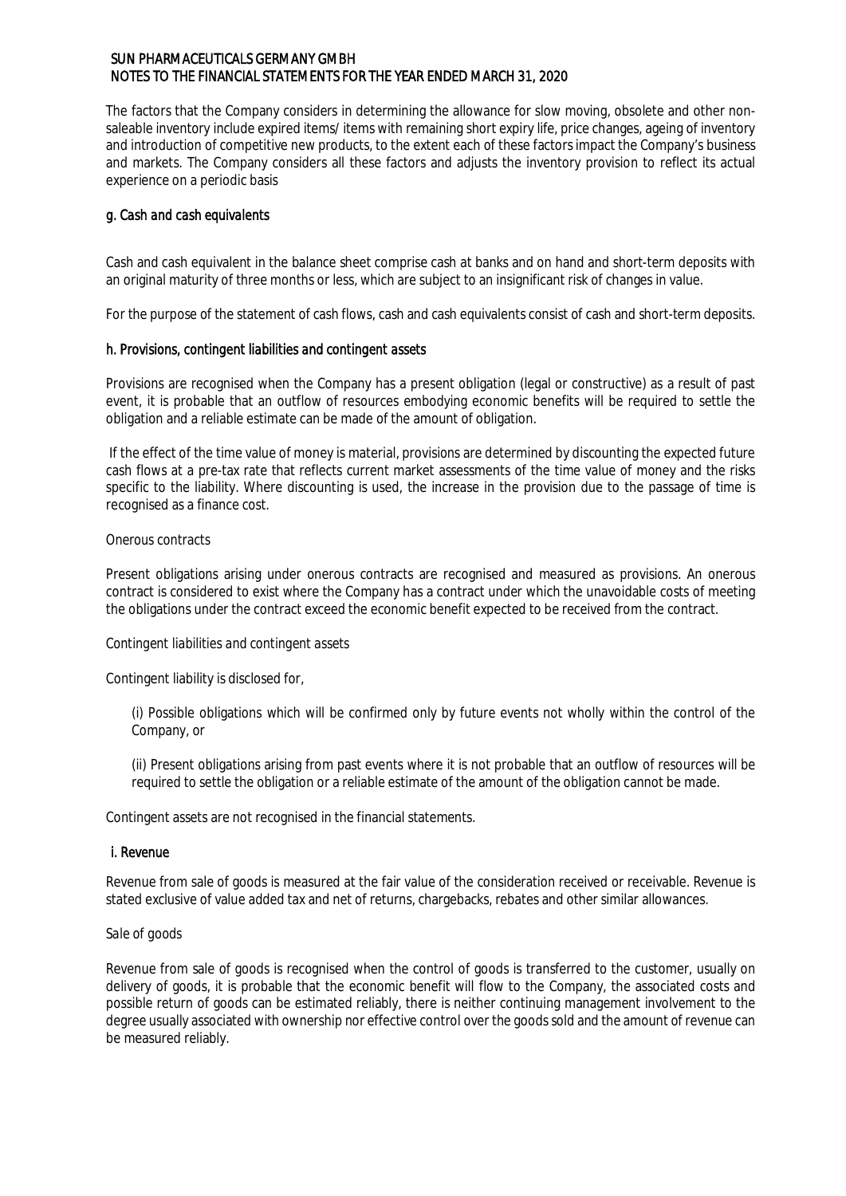The factors that the Company considers in determining the allowance for slow moving, obsolete and other nonsaleable inventory include expired items/ items with remaining short expiry life, price changes, ageing of inventory and introduction of competitive new products, to the extent each of these factors impact the Company's business and markets. The Company considers all these factors and adjusts the inventory provision to reflect its actual experience on a periodic basis

# *g. Cash and cash equivalents*

Cash and cash equivalent in the balance sheet comprise cash at banks and on hand and short-term deposits with an original maturity of three months or less, which are subject to an insignificant risk of changes in value.

For the purpose of the statement of cash flows, cash and cash equivalents consist of cash and short-term deposits.

# *h. Provisions, contingent liabilities and contingent assets*

Provisions are recognised when the Company has a present obligation (legal or constructive) as a result of past event, it is probable that an outflow of resources embodying economic benefits will be required to settle the obligation and a reliable estimate can be made of the amount of obligation.

 If the effect of the time value of money is material, provisions are determined by discounting the expected future cash flows at a pre-tax rate that reflects current market assessments of the time value of money and the risks specific to the liability. Where discounting is used, the increase in the provision due to the passage of time is recognised as a finance cost.

# *Onerous contracts*

Present obligations arising under onerous contracts are recognised and measured as provisions. An onerous contract is considered to exist where the Company has a contract under which the unavoidable costs of meeting the obligations under the contract exceed the economic benefit expected to be received from the contract.

# *Contingent liabilities and contingent assets*

Contingent liability is disclosed for,

(i) Possible obligations which will be confirmed only by future events not wholly within the control of the Company, or

(ii) Present obligations arising from past events where it is not probable that an outflow of resources will be required to settle the obligation or a reliable estimate of the amount of the obligation cannot be made.

Contingent assets are not recognised in the financial statements.

# *i. Revenue*

Revenue from sale of goods is measured at the fair value of the consideration received or receivable. Revenue is stated exclusive of value added tax and net of returns, chargebacks, rebates and other similar allowances.

### *Sale of goods*

Revenue from sale of goods is recognised when the control of goods is transferred to the customer, usually on delivery of goods, it is probable that the economic benefit will flow to the Company, the associated costs and possible return of goods can be estimated reliably, there is neither continuing management involvement to the degree usually associated with ownership nor effective control over the goods sold and the amount of revenue can be measured reliably.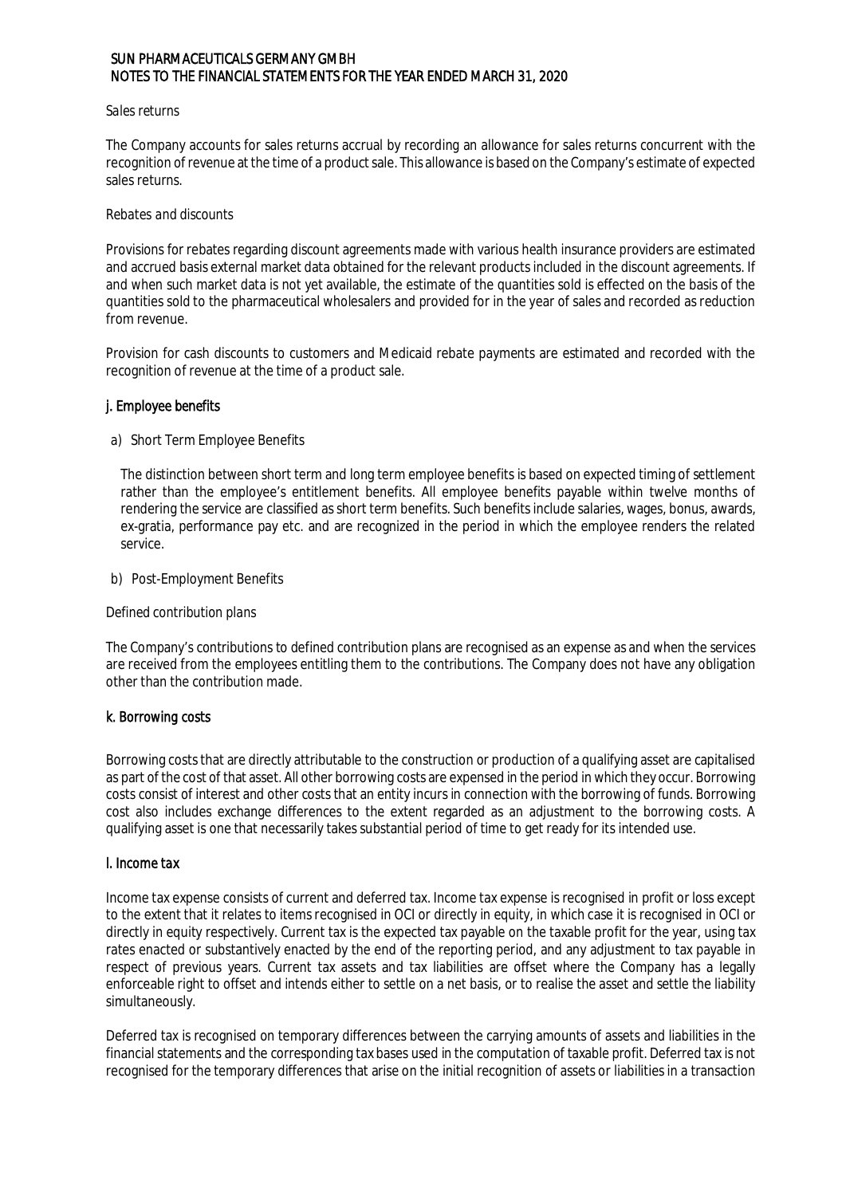### *Sales returns*

The Company accounts for sales returns accrual by recording an allowance for sales returns concurrent with the recognition of revenue at the time of a product sale. This allowance is based on the Company's estimate of expected sales returns.

# *Rebates and discounts*

Provisions for rebates regarding discount agreements made with various health insurance providers are estimated and accrued basis external market data obtained for the relevant products included in the discount agreements. If and when such market data is not yet available, the estimate of the quantities sold is effected on the basis of the quantities sold to the pharmaceutical wholesalers and provided for in the year of sales and recorded as reduction from revenue.

Provision for cash discounts to customers and Medicaid rebate payments are estimated and recorded with the recognition of revenue at the time of a product sale.

# *j. Employee benefits*

# a) Short Term Employee Benefits

The distinction between short term and long term employee benefits is based on expected timing of settlement rather than the employee's entitlement benefits. All employee benefits payable within twelve months of rendering the service are classified as short term benefits. Such benefits include salaries, wages, bonus, awards, ex-gratia, performance pay etc. and are recognized in the period in which the employee renders the related service.

# b) Post-Employment Benefits

# *Defined contribution plans*

The Company's contributions to defined contribution plans are recognised as an expense as and when the services are received from the employees entitling them to the contributions. The Company does not have any obligation other than the contribution made.

# *k. Borrowing costs*

Borrowing costs that are directly attributable to the construction or production of a qualifying asset are capitalised as part of the cost of that asset. All other borrowing costs are expensed in the period in which they occur. Borrowing costs consist of interest and other costs that an entity incurs in connection with the borrowing of funds. Borrowing cost also includes exchange differences to the extent regarded as an adjustment to the borrowing costs. A qualifying asset is one that necessarily takes substantial period of time to get ready for its intended use.

# *l. Income tax*

Income tax expense consists of current and deferred tax. Income tax expense is recognised in profit or loss except to the extent that it relates to items recognised in OCI or directly in equity, in which case it is recognised in OCI or directly in equity respectively. Current tax is the expected tax payable on the taxable profit for the year, using tax rates enacted or substantively enacted by the end of the reporting period, and any adjustment to tax payable in respect of previous years. Current tax assets and tax liabilities are offset where the Company has a legally enforceable right to offset and intends either to settle on a net basis, or to realise the asset and settle the liability simultaneously.

Deferred tax is recognised on temporary differences between the carrying amounts of assets and liabilities in the financial statements and the corresponding tax bases used in the computation of taxable profit. Deferred tax is not recognised for the temporary differences that arise on the initial recognition of assets or liabilities in a transaction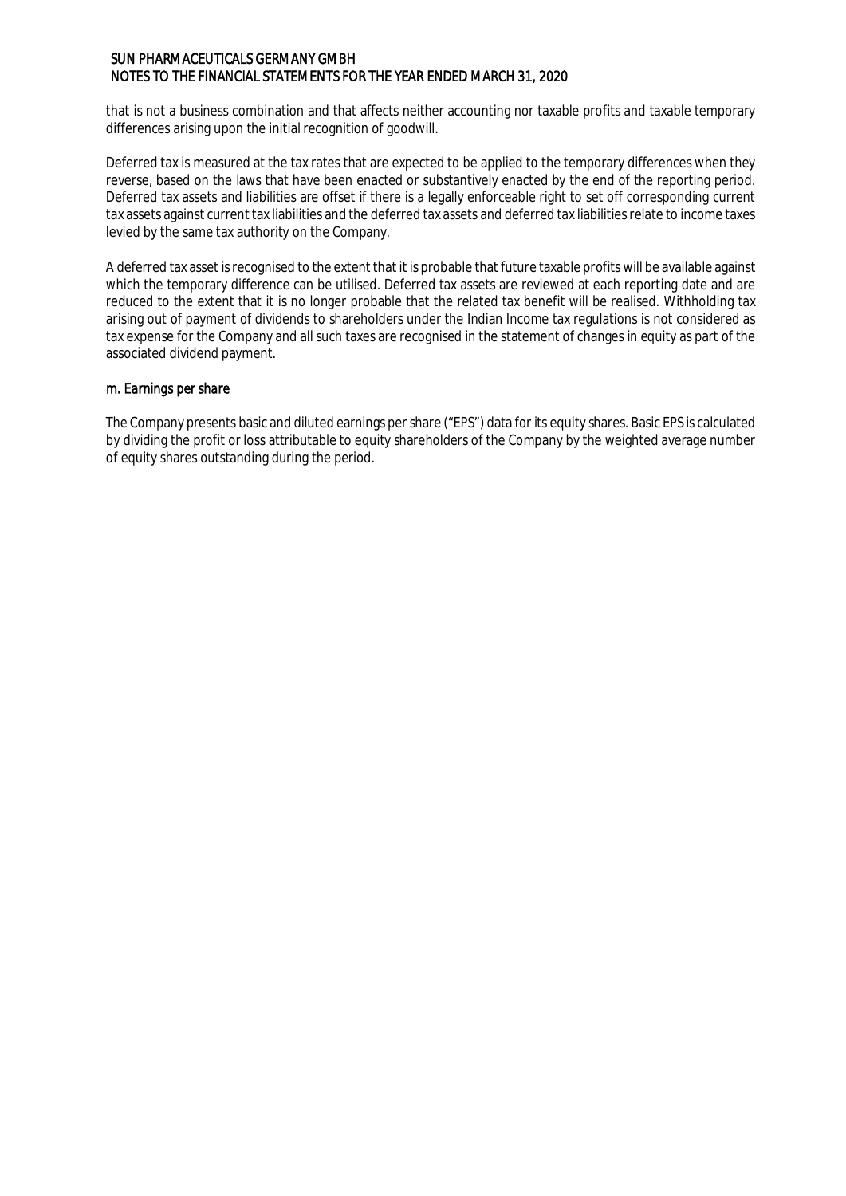that is not a business combination and that affects neither accounting nor taxable profits and taxable temporary differences arising upon the initial recognition of goodwill.

Deferred tax is measured at the tax rates that are expected to be applied to the temporary differences when they reverse, based on the laws that have been enacted or substantively enacted by the end of the reporting period. Deferred tax assets and liabilities are offset if there is a legally enforceable right to set off corresponding current tax assets against current tax liabilities and the deferred tax assets and deferred tax liabilities relate to income taxes levied by the same tax authority on the Company.

A deferred tax asset is recognised to the extent that it is probable that future taxable profits will be available against which the temporary difference can be utilised. Deferred tax assets are reviewed at each reporting date and are reduced to the extent that it is no longer probable that the related tax benefit will be realised. Withholding tax arising out of payment of dividends to shareholders under the Indian Income tax regulations is not considered as tax expense for the Company and all such taxes are recognised in the statement of changes in equity as part of the associated dividend payment.

# *m. Earnings per share*

The Company presents basic and diluted earnings per share ("EPS") data for its equity shares. Basic EPS is calculated by dividing the profit or loss attributable to equity shareholders of the Company by the weighted average number of equity shares outstanding during the period.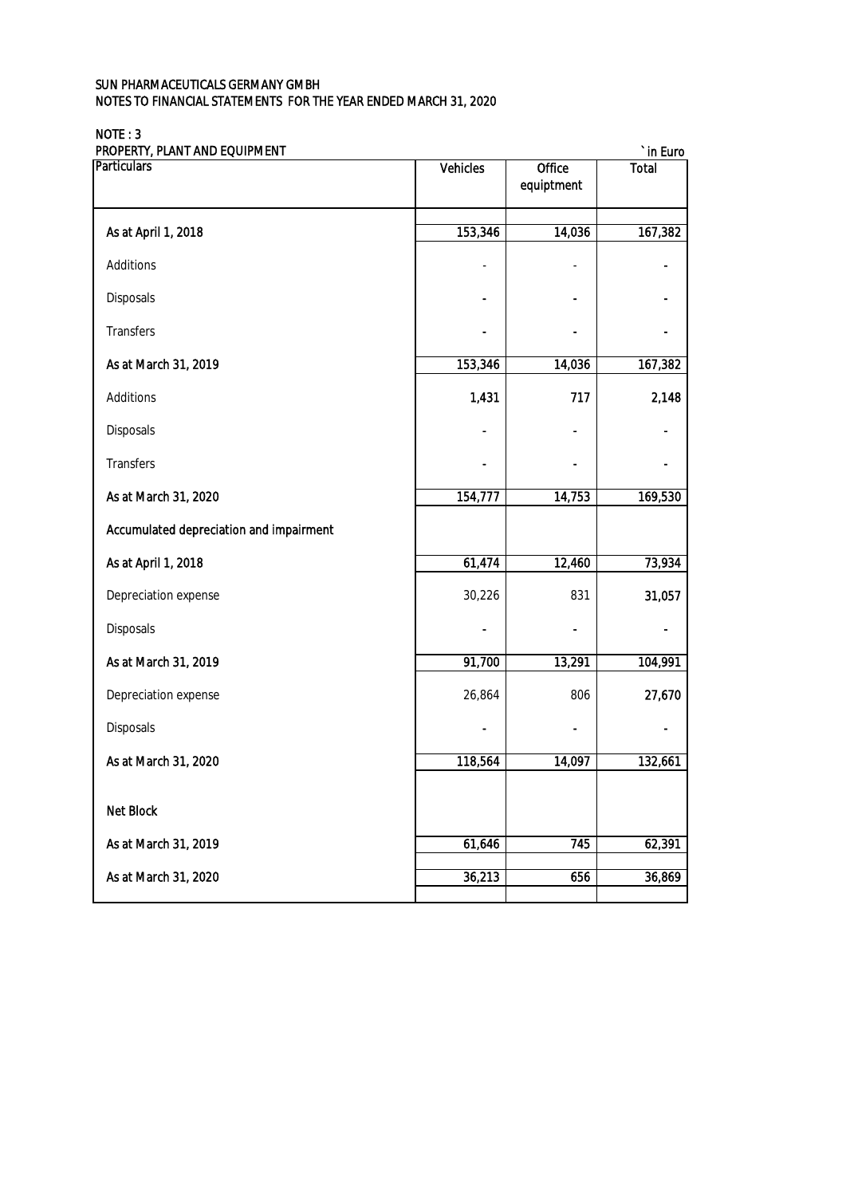NOTE : 3

| <b>PROPERTY, PLANT AND EQUIPMENT</b>    |                 |                      | in Euro      |
|-----------------------------------------|-----------------|----------------------|--------------|
| <b>Particulars</b>                      | <b>Vehicles</b> | Office<br>equiptment | <b>Total</b> |
| As at April 1, 2018                     | 153,346         | 14,036               | 167,382      |
| Additions                               |                 |                      |              |
| Disposals                               |                 |                      |              |
| Transfers                               |                 |                      |              |
| As at March 31, 2019                    | 153,346         | 14,036               | 167,382      |
| Additions                               | 1,431           | 717                  | 2,148        |
| Disposals                               |                 |                      |              |
| Transfers                               |                 |                      |              |
| As at March 31, 2020                    | 154,777         | 14,753               | 169,530      |
| Accumulated depreciation and impairment |                 |                      |              |
| As at April 1, 2018                     | 61,474          | 12,460               | 73,934       |
| Depreciation expense                    | 30,226          | 831                  | 31,057       |
| Disposals                               |                 |                      |              |
| As at March 31, 2019                    | 91,700          | 13,291               | 104,991      |
| Depreciation expense                    | 26,864          | 806                  | 27,670       |
| Disposals                               |                 |                      |              |
| As at March 31, 2020                    | 118,564         | 14,097               | 132,661      |
| Net Block                               |                 |                      |              |
| As at March 31, 2019                    | 61,646          | 745                  | 62,391       |
| As at March 31, 2020                    | 36,213          | 656                  | 36,869       |
|                                         |                 |                      |              |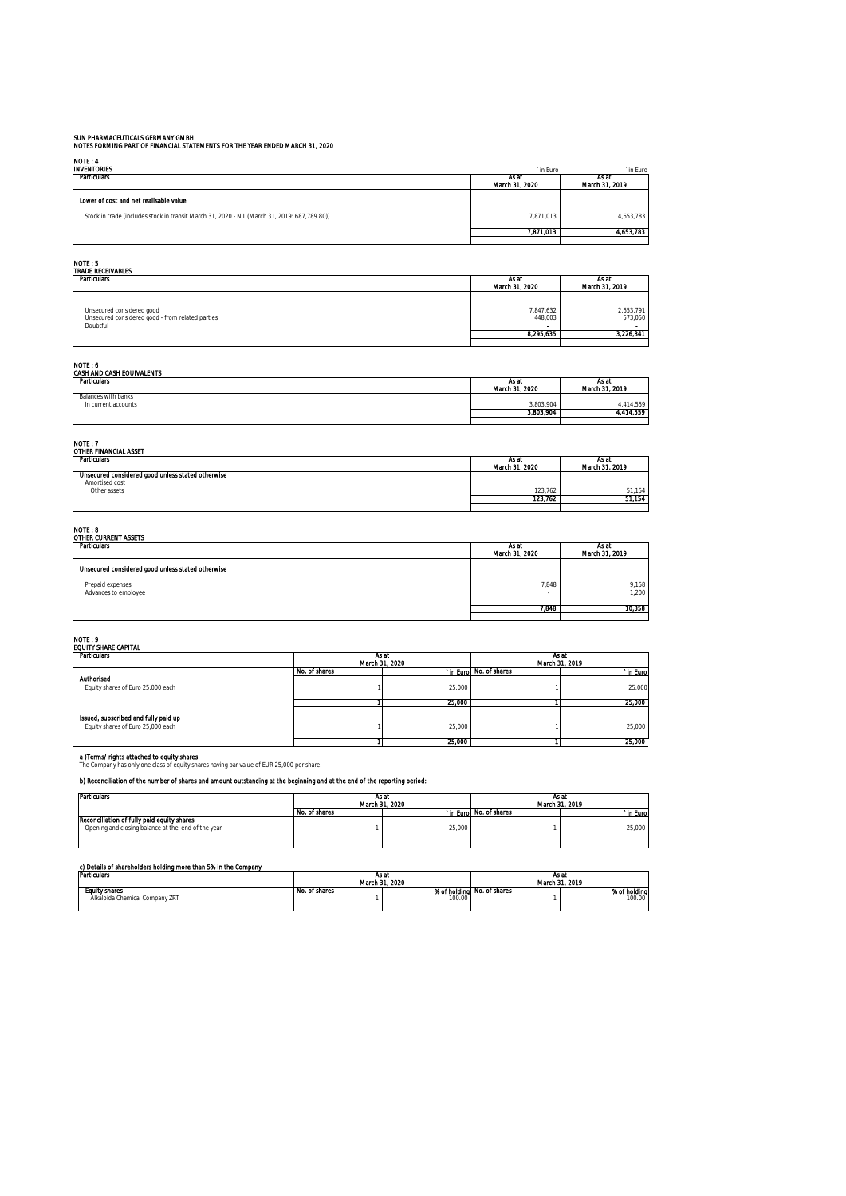$NOTF \cdot A$ 

| <b>NVIE.4</b><br><b>INVENTORIES</b>                                                           | in Euro                 | in Euro                 |
|-----------------------------------------------------------------------------------------------|-------------------------|-------------------------|
| <b>Particulars</b>                                                                            | As at<br>March 31, 2020 | As at<br>March 31, 2019 |
| Lower of cost and net realisable value                                                        |                         |                         |
| Stock in trade (includes stock in transit March 31, 2020 - NIL (March 31, 2019: 687, 789.80)) | 7.871.013               | 4,653,783               |
|                                                                                               | 7,871,013               | 4,653.783               |
|                                                                                               |                         |                         |

#### NOTE : 5 TRADE RECEIVABLES

| <b>Particulars</b>                                                                        | As at<br>March 31, 2020                          | As at<br>March 31, 2019 |
|-------------------------------------------------------------------------------------------|--------------------------------------------------|-------------------------|
| Unsecured considered good<br>Unsecured considered good - from related parties<br>Doubtful | 7,847,632<br>448.003<br>$\overline{\phantom{a}}$ | 2,653,791<br>573.050    |
|                                                                                           | 8,295,635                                        | 3,226,841               |
|                                                                                           |                                                  |                         |

#### NOTE : 6 CASH AND CASH EQUIVALENTS

| <b>Particulars</b>  | As at<br>March 31, 2020 | As at<br>March 31, 2019 |
|---------------------|-------------------------|-------------------------|
| Balances with banks |                         |                         |
| In current accounts | 3.803.904               | 4.414.559               |
|                     | 3.803.904               | 4,414,559               |
|                     |                         |                         |

#### NOTE : 7 OTHER FINANCIAL ASSET

| ---------------------------<br><b>Particulars</b> | As at<br>March 31, 2020 | As at<br>March 31, 2019 |
|---------------------------------------------------|-------------------------|-------------------------|
| Unsecured considered good unless stated otherwise |                         |                         |
| Amortised cost                                    |                         |                         |
| Other assets                                      | 123.762                 | 51.154                  |
|                                                   | 123,762                 | 51.154                  |
|                                                   |                         |                         |

#### NOTE : 8 OTHER CURRENT ASSETS

| <b>Particulars</b>                                | As at<br>March 31, 2020 | As at<br>March 31, 2019 |
|---------------------------------------------------|-------------------------|-------------------------|
| Unsecured considered good unless stated otherwise |                         |                         |
| Prepaid expenses<br>Advances to employee          | 7,848<br>$\sim$         | 9.158<br>1.200          |
|                                                   | 7,848                   | 10.358                  |
|                                                   |                         |                         |

#### NOTE : 9 EQUITY SHARE CAPITAL

| <b>Particulars</b>                                                        |               | As at<br>March 31, 2020 | As at<br>March 31, 2019   |           |
|---------------------------------------------------------------------------|---------------|-------------------------|---------------------------|-----------|
|                                                                           | No. of shares |                         | ` In Euro   No. of shares | ` in Euro |
| <b>Authorised</b><br>Equity shares of Euro 25,000 each                    |               | 25.000                  |                           | 25,000    |
|                                                                           |               | 25,000                  |                           | 25,000    |
| Issued, subscribed and fully paid up<br>Equity shares of Euro 25,000 each |               | 25.000                  |                           | 25.000    |
|                                                                           |               | 25,000                  |                           | 25,000    |

#### **a )Terms/ rights attached to equity shares**<br>The Company has only one class of equity shares having par value of EUR 25,000 per share.

b) Reconciliation of the number of shares and amount outstanding at the beginning and at the end of the reporting period:

| <b>Particulars</b>                                 |               | As at<br>March 31, 2020 |                           | As at<br>March 31, 2019 |
|----------------------------------------------------|---------------|-------------------------|---------------------------|-------------------------|
|                                                    | No. of shares |                         | ` In Euro   No. of shares | ` in Euro               |
| Reconciliation of fully paid equity shares         |               |                         |                           |                         |
| Opening and closing balance at the end of the year |               | 25.000                  |                           | 25.000                  |
|                                                    |               |                         |                           |                         |
|                                                    |               |                         |                           |                         |

#### c) Details of shareholders holding more than 5% in the Company

| Particulars                    |               | As at<br>March 31, 2020 |                            | As at<br>March 31, 2019 |
|--------------------------------|---------------|-------------------------|----------------------------|-------------------------|
| <b>Equity shares</b>           | No. of shares |                         | % of holding No. of shares | % of holding            |
| Alkaloida Chemical Company ZRT |               | 100.00                  |                            | 100.00                  |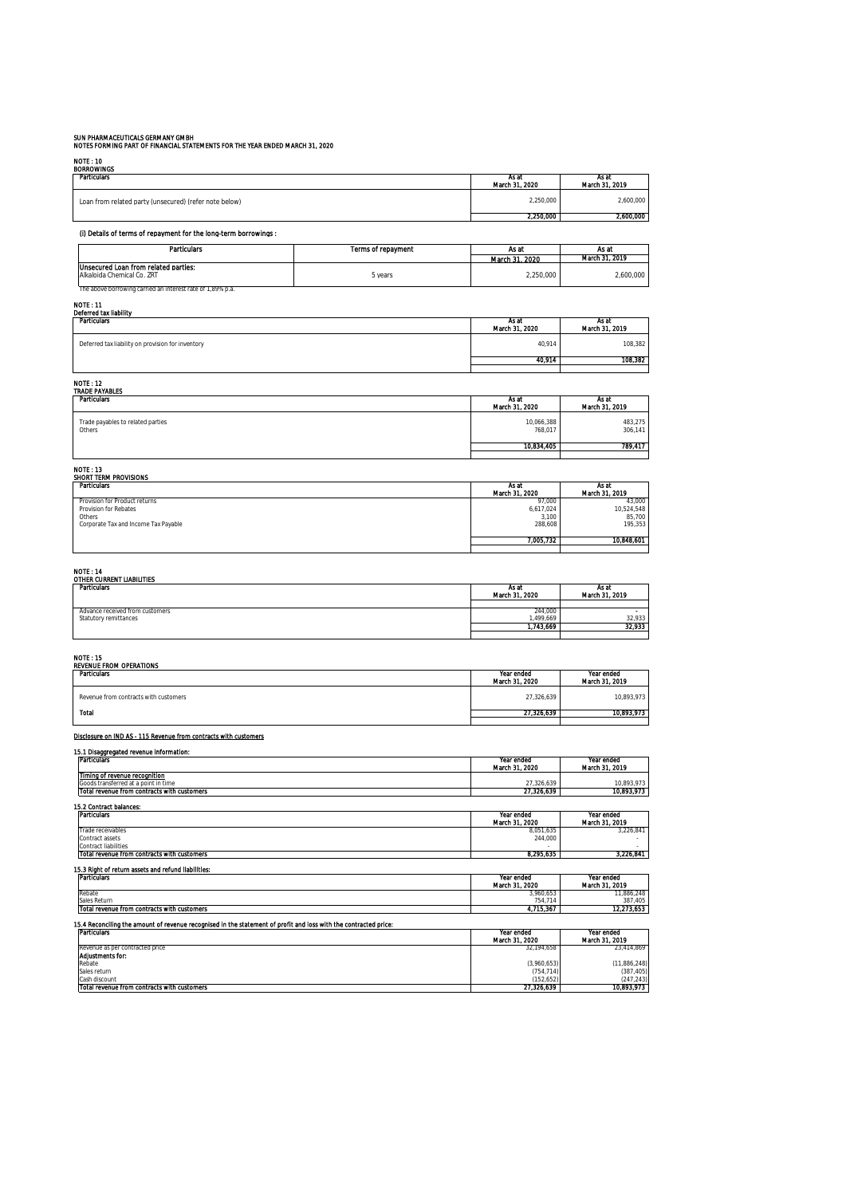# NOTE : 10

| <b>BORROWINGS</b>                                      |                         |                         |
|--------------------------------------------------------|-------------------------|-------------------------|
| <b>Particulars</b>                                     | As at<br>March 31, 2020 | As at<br>March 31, 2019 |
| Loan from related party (unsecured) (refer note below) | 2,250,000               | 2,600,000               |
|                                                        | 2,250,000               | 2,600,000               |

#### (i) Details of terms of repayment for the long-term borrowings :

| <b>Particulars</b>                                                 | <b>Terms of repayment</b> | As at          | As at          |
|--------------------------------------------------------------------|---------------------------|----------------|----------------|
|                                                                    |                           | March 31, 2020 | March 31, 2019 |
| Unsecured Loan from related parties:<br>Alkaloida Chemical Co. 7RT | 5 years                   | 2.250.000      | 2.600.000      |
| The above borrowing carried an interest rate of 1,89% p.a.         |                           |                |                |

#### NOTE : 11 Deferred tax liability

| Particulars                                       | As at<br>March 31, 2020 | As at<br>March 31, 2019 |
|---------------------------------------------------|-------------------------|-------------------------|
| Deferred tax liability on provision for inventory | 40.914                  | 108.382                 |
|                                                   | 40,914                  | 108.382                 |
|                                                   |                         |                         |

#### NOTE : 12 TRADE PAYABLES

| . |                                             |                         |                         |
|---|---------------------------------------------|-------------------------|-------------------------|
|   | <b>Particulars</b>                          | As at<br>March 31, 2020 | As at<br>March 31, 2019 |
|   | Trade payables to related parties<br>Others | 10,066,388<br>768.017   | 483.275<br>306.141      |
|   |                                             | 10,834,405              | 789.417                 |
|   |                                             |                         |                         |

# NOTE : 13<br>SHORT TERM PROVISIONS<br>Particulars As at As at As at As at As at As at As at As at As at As at As at As at As at As at As at As at A **As at**<br> **March 31, 2020**<br>  $\begin{array}{r} \text{6, 617, 020} \\ \text{97, 000} \\ \text{6, 617, 024} \\ \text{7, 100} \\ \text{288, 608} \\ \text{98, 608} \\ \text{195, 353} \\ \text{108, 333} \\ \text{110, 333} \\ \text{120, 333} \\ \text{131, 333} \\ \text{141, 333} \\ \text{152, 333} \\ \text{163, 333} \\ \text{$ 97,000 43,000 43,000 43,000 45,000 45,000 45,000 45,000 43,000 43,000 43,000 43,000 43,000 43,000 43,000 43,00<br>20 10,524,548 10,524,548<br>Corporate Tax and Income Tax Payable 288,608 495,353 7,005,732 10,848,601

#### NOTE : 14 OTHER CURRENT LIABILITIES

| <b>Particulars</b>              | As at<br>March 31, 2020 | As at<br>March 31, 2019 |
|---------------------------------|-------------------------|-------------------------|
| Advance received from customers | 244,000                 |                         |
| Statutory remittances           | 1.499.669               | 32.933                  |
|                                 | 1,743,669               | 32.933                  |
|                                 |                         |                         |

#### NOTE : 15 REVENUE FROM OPERATIONS

| <b>Particulars</b>                    | Year ended<br>March 31, 2020 | Year ended<br>March 31, 2019 |
|---------------------------------------|------------------------------|------------------------------|
| Revenue from contracts with customers | 27.326.639                   | 10.893.973                   |
| Total                                 | 27,326,639                   | 10,893,973                   |

#### Disclosure on IND AS - 115 Revenue from contracts with customers

| <b>Particulars</b>                                                                                               | Year ended                   | Year ended                   |
|------------------------------------------------------------------------------------------------------------------|------------------------------|------------------------------|
|                                                                                                                  | March 31, 2020               | March 31, 2019               |
| Timing of revenue recognition                                                                                    |                              |                              |
| Goods transferred at a point in time                                                                             | 27.326.639                   | 10,893,973                   |
| Total revenue from contracts with customers                                                                      | 27,326,639                   | 10,893,973                   |
| 15.2 Contract balances:                                                                                          |                              |                              |
| <b>Particulars</b>                                                                                               | Year ended                   | Year ended                   |
|                                                                                                                  | March 31, 2020               | March 31, 2019               |
| Trade receivables                                                                                                | 8.051.635                    | 3,226,841                    |
| Contract assets                                                                                                  | 244,000                      |                              |
| Contract liabilities                                                                                             |                              |                              |
| Total revenue from contracts with customers                                                                      | 8,295,635                    | 3,226.841                    |
| 15.3 Right of return assets and refund liabilities:<br><b>Particulars</b>                                        | Year ended<br>March 31, 2020 | Year ended<br>March 31, 2019 |
| Rebate                                                                                                           | 3.960.653                    | 11.886.248                   |
| Sales Return                                                                                                     | 754.714                      | 387,405                      |
| Total revenue from contracts with customers                                                                      | 4,715,367                    | 12,273,653                   |
| 15.4 Reconciling the amount of revenue recognised in the statement of profit and loss with the contracted price: |                              |                              |
| <b>Particulars</b>                                                                                               | Year ended<br>March 31, 2020 | Year ended<br>March 31, 2019 |
| Revenue as per contracted price                                                                                  | 32.194.658                   | 23.414.869                   |
| Adjustments for:                                                                                                 |                              |                              |
| Rebate                                                                                                           | (3,960,653)                  | (11, 886, 248)               |
| Sales return                                                                                                     | (754, 714)                   | (387, 405)                   |
| Cash discount                                                                                                    | (152, 652)                   | (247, 243)                   |
|                                                                                                                  | 27.326.639                   | 10,893,973                   |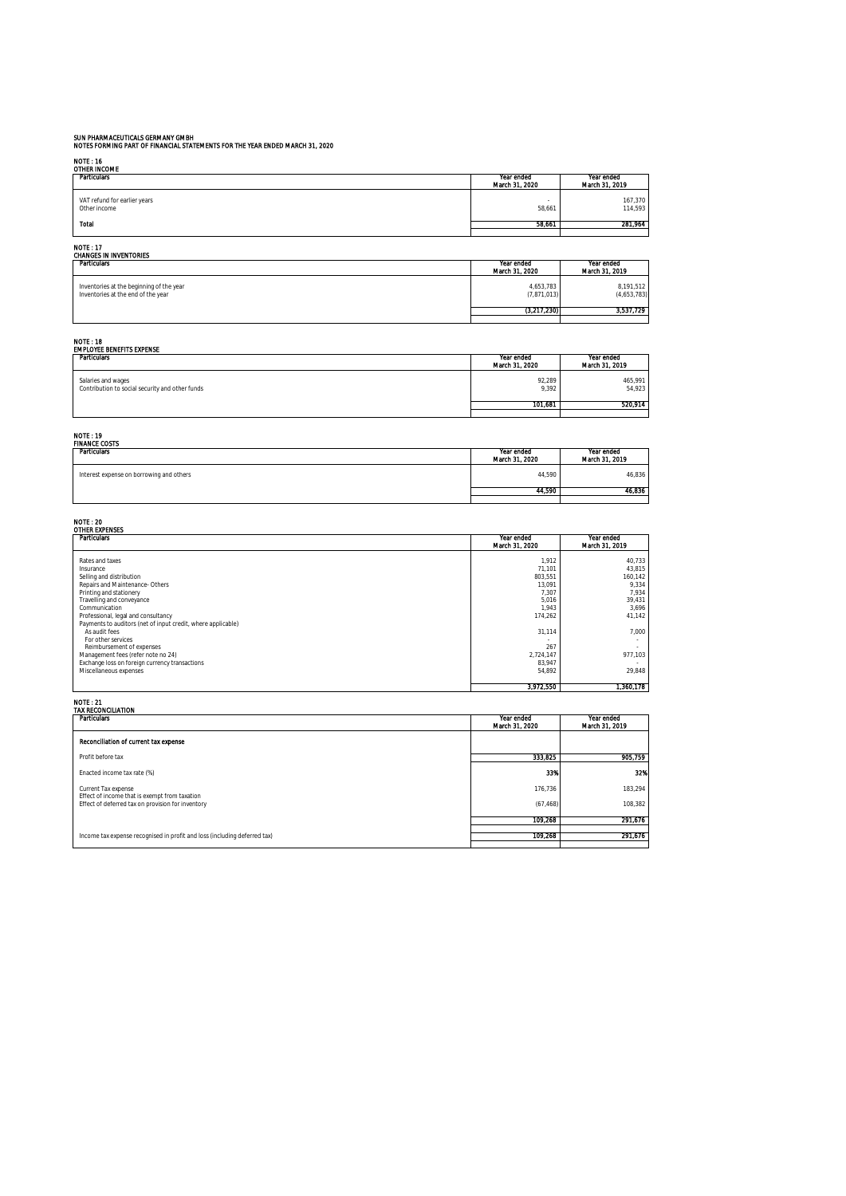SUN PHARMACEUTICALS GERMANY GMBH NOTES FORMING PART OF FINANCIAL STATEMENTS FOR THE YEAR ENDED MARCH 31, 2020 NOTE : 16

| .<br><b>OTHER INCOME</b>                         |                              |                              |
|--------------------------------------------------|------------------------------|------------------------------|
| <b>Particulars</b>                               | Year ended<br>March 31, 2020 | Year ended<br>March 31, 2019 |
| VAT refund for earlier years<br>Other income     | 58,661                       | 167,370<br>114,593           |
| Total                                            | 58,661                       | 281,964                      |
|                                                  |                              |                              |
| <b>NOTE: 17</b><br><b>CHANGES IN INVENTORIES</b> |                              |                              |

| <b>Particulars</b>                                                             | Year ended<br>March 31, 2020 | Year ended<br>March 31, 2019 |
|--------------------------------------------------------------------------------|------------------------------|------------------------------|
| Inventories at the beginning of the year<br>Inventories at the end of the year | 4,653,783<br>(7,871,013)     | 8,191,512<br>(4,653,783)     |
|                                                                                | (3,217,230)                  | 3,537.729                    |
|                                                                                |                              |                              |

#### NOTE : 18 EMPLOYEE BENEFITS EXPENSE

| <b>Particulars</b>                                                    | Year ended<br>March 31, 2020 | Year ended<br>March 31, 2019 |
|-----------------------------------------------------------------------|------------------------------|------------------------------|
| Salaries and wages<br>Contribution to social security and other funds | 92.289<br>9,392              | 465.991<br>54.923            |
|                                                                       | 101,681                      | 520.914                      |
|                                                                       |                              |                              |

#### NOTE : 19 FINANCE COSTS

| .<br><b>Particulars</b>                  | Year ended<br>March 31, 2020 | Year ended<br>March 31, 2019 |
|------------------------------------------|------------------------------|------------------------------|
| Interest expense on borrowing and others | 44.590                       | 46.836                       |
|                                          | 44,590                       | 46.836                       |
|                                          |                              |                              |

# NOTE : 20 OTHER EXPENSES

| Particulars                                                                                                                                                         | Year ended<br>March 31, 2020                                    | Year ended<br>March 31, 2019                                     |
|---------------------------------------------------------------------------------------------------------------------------------------------------------------------|-----------------------------------------------------------------|------------------------------------------------------------------|
| Rates and taxes<br>Insurance<br>Selling and distribution<br>Repairs and Maintenance-Others<br>Printing and stationery<br>Travelling and conveyance<br>Communication | 1,912<br>71.101<br>803,551<br>13,091<br>7,307<br>5.016<br>1.943 | 40,733<br>43,815<br>160,142<br>9,334<br>7.934<br>39,431<br>3,696 |
| Professional, legal and consultancy<br>Payments to auditors (net of input credit, where applicable)                                                                 | 174,262                                                         | 41,142                                                           |
| As audit fees<br>For other services<br>Reimbursement of expenses                                                                                                    | 31.114<br>267                                                   | 7.000                                                            |
| Management fees (refer note no 24)<br>Exchange loss on foreign currency transactions<br>Miscellaneous expenses                                                      | 2,724,147<br>83.947<br>54,892                                   | 977,103<br>29.848                                                |
|                                                                                                                                                                     | 3,972,550                                                       | 1,360.178                                                        |

#### NOTE : 21 TAX RECONCILIATION

| <b>Particulars</b>                                                                                 | Year ended<br>March 31, 2020 | Year ended<br>March 31, 2019 |
|----------------------------------------------------------------------------------------------------|------------------------------|------------------------------|
| Reconciliation of current tax expense                                                              |                              |                              |
| Profit before tax                                                                                  | 333,825                      | 905,759                      |
| Enacted income tax rate (%)                                                                        | 33%                          | 32%                          |
| Current Tax expense                                                                                | 176.736                      | 183.294                      |
| Effect of income that is exempt from taxation<br>Effect of deferred tax on provision for inventory | (67, 468)                    | 108.382                      |
|                                                                                                    | 109,268                      | 291.676                      |
| Income tax expense recognised in profit and loss (including deferred tax)                          | 109,268                      | 291,676                      |
|                                                                                                    |                              |                              |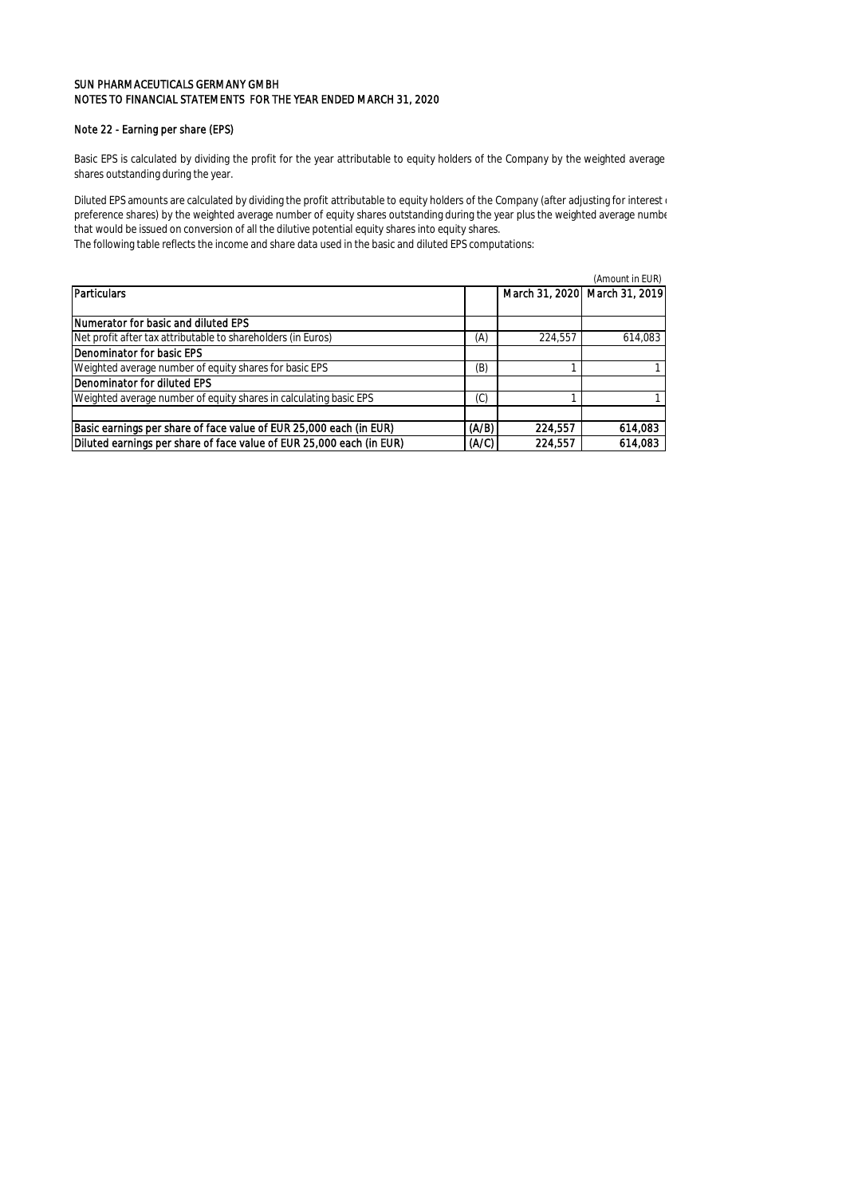#### Note 22 - Earning per share (EPS)

Basic EPS is calculated by dividing the profit for the year attributable to equity holders of the Company by the weighted average shares outstanding during the year.

Diluted EPS amounts are calculated by dividing the profit attributable to equity holders of the Company (after adjusting for interest on preference shares) by the weighted average number of equity shares outstanding during the year plus the weighted average number that would be issued on conversion of all the dilutive potential equity shares into equity shares.

The following table reflects the income and share data used in the basic and diluted EPS computations:

|                                                                      |       |         | (Amount in EUR)               |
|----------------------------------------------------------------------|-------|---------|-------------------------------|
| Particulars                                                          |       |         | March 31, 2020 March 31, 2019 |
| Numerator for basic and diluted EPS                                  |       |         |                               |
| Net profit after tax attributable to shareholders (in Euros)         | (A)   | 224,557 | 614.083                       |
| Denominator for basic EPS                                            |       |         |                               |
| Weighted average number of equity shares for basic EPS               | (B)   |         |                               |
| Denominator for diluted EPS                                          |       |         |                               |
| Weighted average number of equity shares in calculating basic EPS    | (C)   |         |                               |
|                                                                      |       |         |                               |
| Basic earnings per share of face value of EUR 25,000 each (in EUR)   | (A/B) | 224,557 | 614,083                       |
| Diluted earnings per share of face value of EUR 25,000 each (in EUR) | (A/C) | 224,557 | 614,083                       |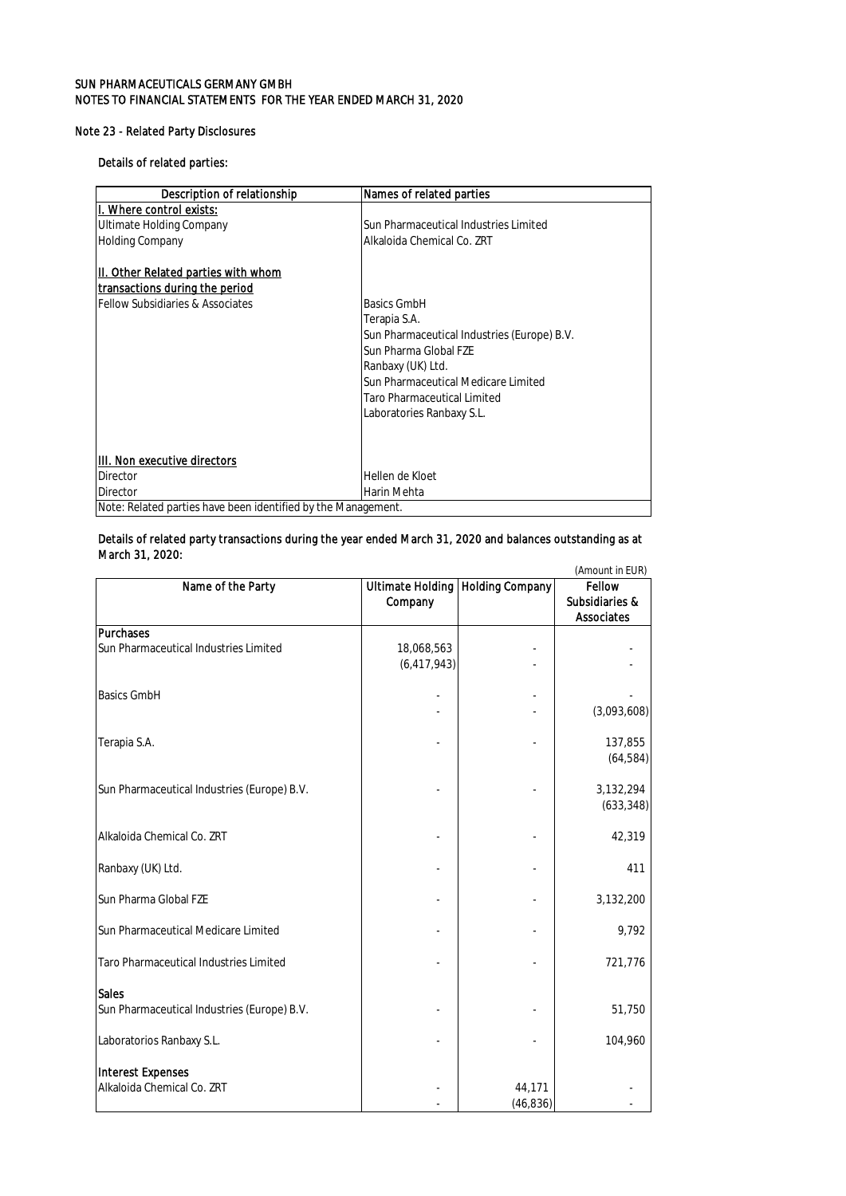# Note 23 - Related Party Disclosures

# Details of related parties:

| Description of relationship                                                  | Names of related parties                    |  |
|------------------------------------------------------------------------------|---------------------------------------------|--|
| I. Where control exists:                                                     |                                             |  |
| Ultimate Holding Company                                                     | Sun Pharmaceutical Industries Limited       |  |
| <b>Holding Company</b>                                                       | Alkaloida Chemical Co. ZRT                  |  |
| <b>II. Other Related parties with whom</b><br>transactions during the period |                                             |  |
| <b>Fellow Subsidiaries &amp; Associates</b>                                  | Basics GmbH                                 |  |
|                                                                              | Terapia S.A.                                |  |
|                                                                              | Sun Pharmaceutical Industries (Europe) B.V. |  |
|                                                                              | Sun Pharma Global FZE                       |  |
|                                                                              | Ranbaxy (UK) Ltd.                           |  |
|                                                                              | Sun Pharmaceutical Medicare Limited         |  |
|                                                                              | Taro Pharmaceutical Limited                 |  |
|                                                                              | Laboratories Ranbaxy S.L.                   |  |
|                                                                              |                                             |  |
| III. Non executive directors                                                 |                                             |  |
| Director                                                                     | Hellen de Kloet                             |  |
| <b>Director</b>                                                              | Harin Mehta                                 |  |
| Note: Related parties have been identified by the Management.                |                                             |  |

#### Details of related party transactions during the year ended March 31, 2020 and balances outstanding as at March 31, 2020:

|                                             |                                    |                        | (Amount in EUR)                               |
|---------------------------------------------|------------------------------------|------------------------|-----------------------------------------------|
| Name of the Party                           | <b>Ultimate Holding</b><br>Company | <b>Holding Company</b> | Fellow<br>Subsidiaries &<br><b>Associates</b> |
| <b>Purchases</b>                            |                                    |                        |                                               |
| Sun Pharmaceutical Industries Limited       | 18,068,563<br>(6, 417, 943)        |                        |                                               |
| <b>Basics GmbH</b>                          |                                    |                        |                                               |
|                                             |                                    |                        | (3,093,608)                                   |
| Terapia S.A.                                |                                    |                        | 137,855<br>(64, 584)                          |
| Sun Pharmaceutical Industries (Europe) B.V. |                                    |                        | 3,132,294<br>(633, 348)                       |
| Alkaloida Chemical Co. ZRT                  |                                    |                        | 42,319                                        |
| Ranbaxy (UK) Ltd.                           |                                    |                        | 411                                           |
| Sun Pharma Global FZE                       |                                    |                        | 3,132,200                                     |
| Sun Pharmaceutical Medicare Limited         |                                    |                        | 9,792                                         |
| Taro Pharmaceutical Industries Limited      |                                    |                        | 721,776                                       |
| <b>Sales</b>                                |                                    |                        |                                               |
| Sun Pharmaceutical Industries (Europe) B.V. |                                    |                        | 51,750                                        |
| Laboratorios Ranbaxy S.L.                   |                                    |                        | 104,960                                       |
| <b>Interest Expenses</b>                    |                                    |                        |                                               |
| Alkaloida Chemical Co. ZRT                  |                                    | 44,171<br>(46, 836)    |                                               |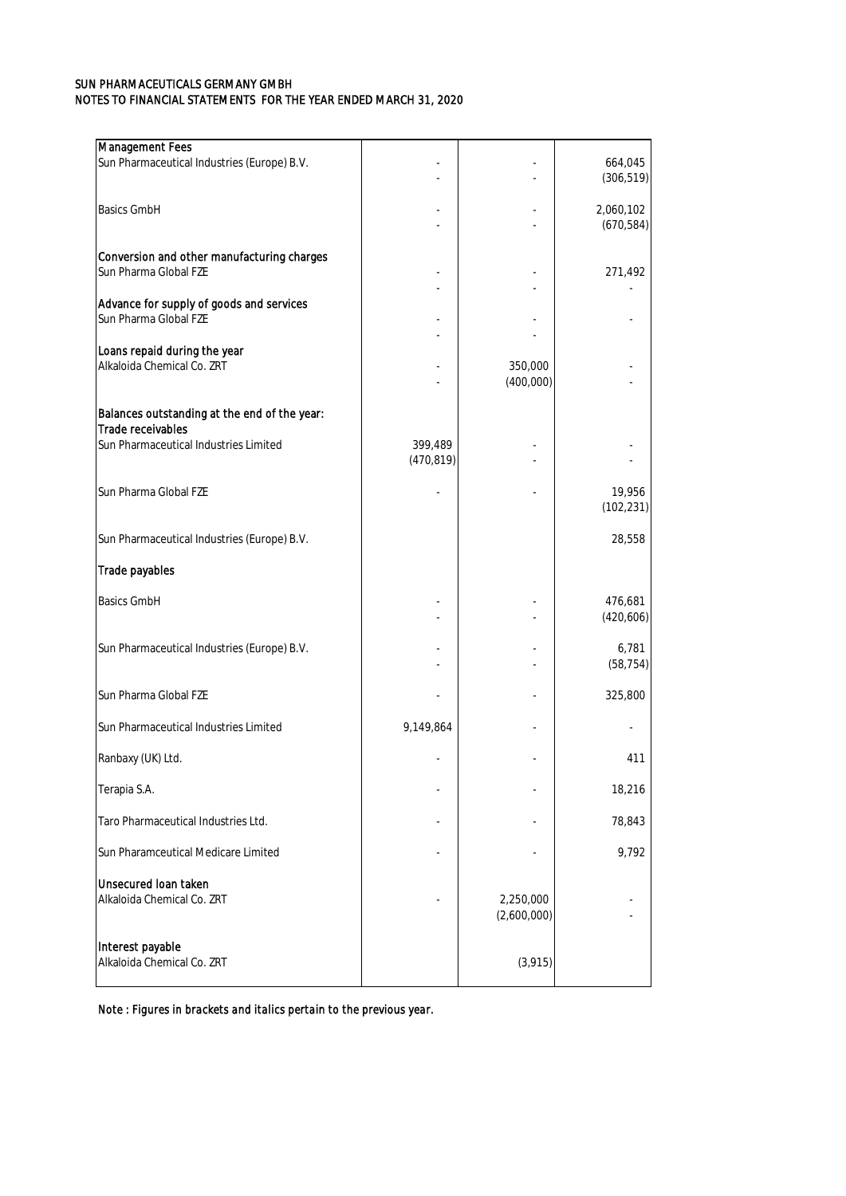| Management Fees                              |            |             |            |
|----------------------------------------------|------------|-------------|------------|
| Sun Pharmaceutical Industries (Europe) B.V.  |            |             | 664,045    |
|                                              |            |             | (306, 519) |
| <b>Basics GmbH</b>                           |            |             | 2,060,102  |
|                                              |            |             | (670, 584) |
|                                              |            |             |            |
| Conversion and other manufacturing charges   |            |             |            |
| Sun Pharma Global FZE                        |            |             | 271,492    |
|                                              |            |             |            |
| Advance for supply of goods and services     |            |             |            |
| Sun Pharma Global FZE                        |            |             |            |
|                                              |            |             |            |
| Loans repaid during the year                 |            |             |            |
| Alkaloida Chemical Co. ZRT                   |            | 350,000     |            |
|                                              |            | (400,000)   |            |
|                                              |            |             |            |
| Balances outstanding at the end of the year: |            |             |            |
| <b>Trade receivables</b>                     |            |             |            |
| Sun Pharmaceutical Industries Limited        | 399,489    |             |            |
|                                              | (470, 819) |             |            |
|                                              |            |             |            |
| Sun Pharma Global FZE                        |            |             | 19,956     |
|                                              |            |             | (102, 231) |
| Sun Pharmaceutical Industries (Europe) B.V.  |            |             | 28,558     |
|                                              |            |             |            |
| <b>Trade payables</b>                        |            |             |            |
|                                              |            |             |            |
| <b>Basics GmbH</b>                           |            |             | 476,681    |
|                                              |            |             | (420, 606) |
|                                              |            |             |            |
| Sun Pharmaceutical Industries (Europe) B.V.  |            |             | 6,781      |
|                                              |            |             | (58, 754)  |
|                                              |            |             |            |
| Sun Pharma Global FZE                        |            |             | 325,800    |
|                                              |            |             |            |
| Sun Pharmaceutical Industries Limited        | 9,149,864  |             |            |
|                                              |            |             |            |
| Ranbaxy (UK) Ltd.                            |            |             | 411        |
|                                              |            |             | 18,216     |
| Terapia S.A.                                 |            |             |            |
| Taro Pharmaceutical Industries Ltd.          |            |             | 78,843     |
|                                              |            |             |            |
| Sun Pharamceutical Medicare Limited          |            |             | 9,792      |
|                                              |            |             |            |
| Unsecured Ioan taken                         |            |             |            |
| Alkaloida Chemical Co. ZRT                   |            | 2,250,000   |            |
|                                              |            | (2,600,000) |            |
|                                              |            |             |            |
| Interest payable                             |            |             |            |
| Alkaloida Chemical Co. ZRT                   |            | (3, 915)    |            |
|                                              |            |             |            |

*Note : Figures in brackets and italics pertain to the previous year.*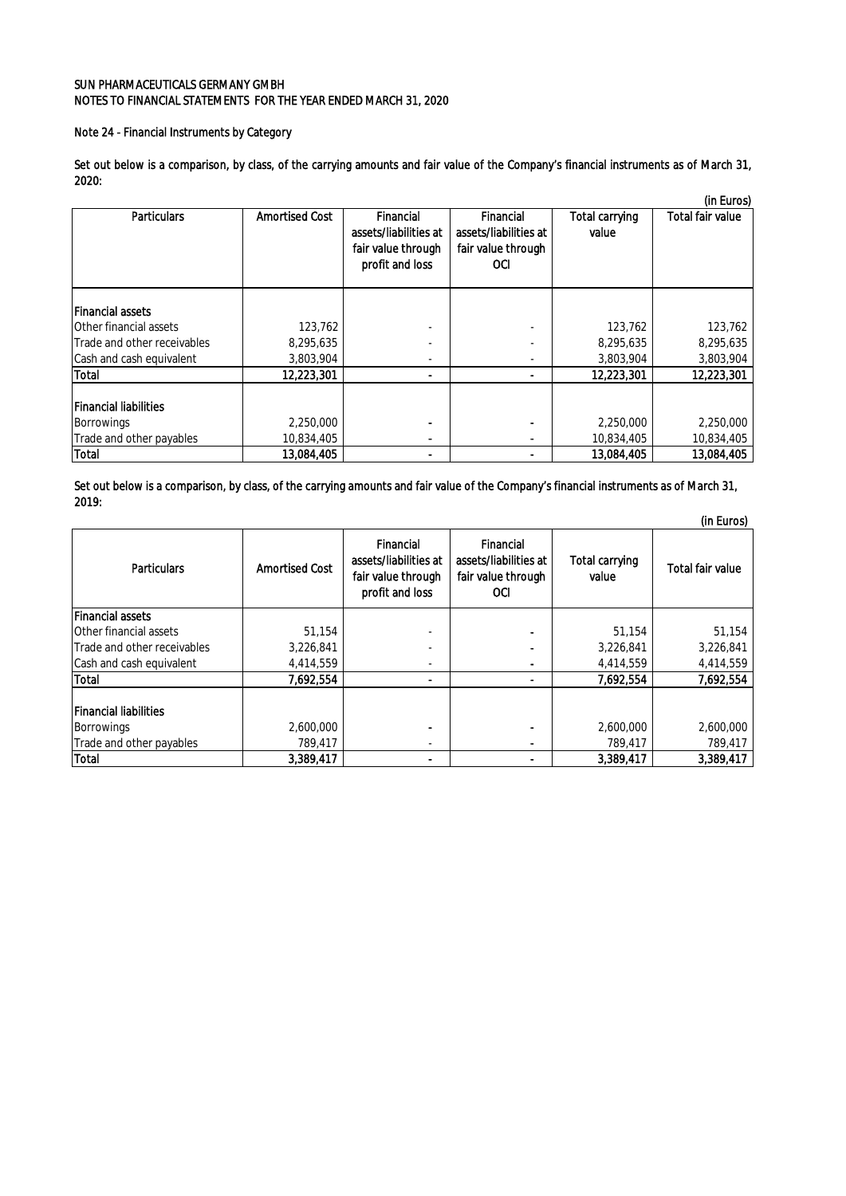### Note 24 - Financial Instruments by Category

Set out below is a comparison, by class, of the carrying amounts and fair value of the Company's financial instruments as of March 31, 2020:

|                              |                       |                                                                             |                                                                        |                                | (in Euros)              |
|------------------------------|-----------------------|-----------------------------------------------------------------------------|------------------------------------------------------------------------|--------------------------------|-------------------------|
| <b>Particulars</b>           | <b>Amortised Cost</b> | Financial<br>assets/liabilities at<br>fair value through<br>profit and loss | Financial<br>assets/liabilities at<br>fair value through<br><b>OCI</b> | <b>Total carrying</b><br>value | <b>Total fair value</b> |
| <b>Financial assets</b>      |                       |                                                                             |                                                                        |                                |                         |
| Other financial assets       | 123.762               |                                                                             |                                                                        | 123.762                        | 123,762                 |
| Trade and other receivables  | 8,295,635             | $\overline{\phantom{a}}$                                                    |                                                                        | 8,295,635                      | 8,295,635               |
| Cash and cash equivalent     | 3,803,904             |                                                                             | ٠                                                                      | 3,803,904                      | 3,803,904               |
| Total                        | 12,223,301            |                                                                             | ۰                                                                      | 12,223,301                     | 12,223,301              |
| <b>Financial liabilities</b> |                       |                                                                             |                                                                        |                                |                         |
| <b>Borrowings</b>            | 2,250,000             |                                                                             |                                                                        | 2,250,000                      | 2,250,000               |
| Trade and other payables     | 10,834,405            | $\blacksquare$                                                              | ٠                                                                      | 10,834,405                     | 10,834,405              |
| Total                        | 13,084,405            |                                                                             | -                                                                      | 13,084,405                     | 13,084,405              |

Set out below is a comparison, by class, of the carrying amounts and fair value of the Company's financial instruments as of March 31, 2019:

|                               |                       |                                                                             |                                                                        |                                | (in Euros)              |
|-------------------------------|-----------------------|-----------------------------------------------------------------------------|------------------------------------------------------------------------|--------------------------------|-------------------------|
| <b>Particulars</b>            | <b>Amortised Cost</b> | Financial<br>assets/liabilities at<br>fair value through<br>profit and loss | Financial<br>assets/liabilities at<br>fair value through<br><b>OCI</b> | <b>Total carrying</b><br>value | <b>Total fair value</b> |
| <b>Financial assets</b>       |                       |                                                                             |                                                                        |                                |                         |
| <b>Other financial assets</b> | 51,154                |                                                                             | $\blacksquare$                                                         | 51,154                         | 51,154                  |
| Trade and other receivables   | 3,226,841             |                                                                             |                                                                        | 3,226,841                      | 3,226,841               |
| Cash and cash equivalent      | 4,414,559             |                                                                             | ۰                                                                      | 4,414,559                      | 4,414,559               |
| Total                         | 7,692,554             |                                                                             | ۰                                                                      | 7.692.554                      | 7.692.554               |
| <b>IFinancial liabilities</b> |                       |                                                                             |                                                                        |                                |                         |
| <b>Borrowings</b>             | 2,600,000             |                                                                             | ۰                                                                      | 2,600,000                      | 2,600,000               |
| Trade and other payables      | 789,417               |                                                                             | ۰                                                                      | 789,417                        | 789,417                 |
| Total                         | 3,389,417             |                                                                             | ٠                                                                      | 3,389,417                      | 3,389,417               |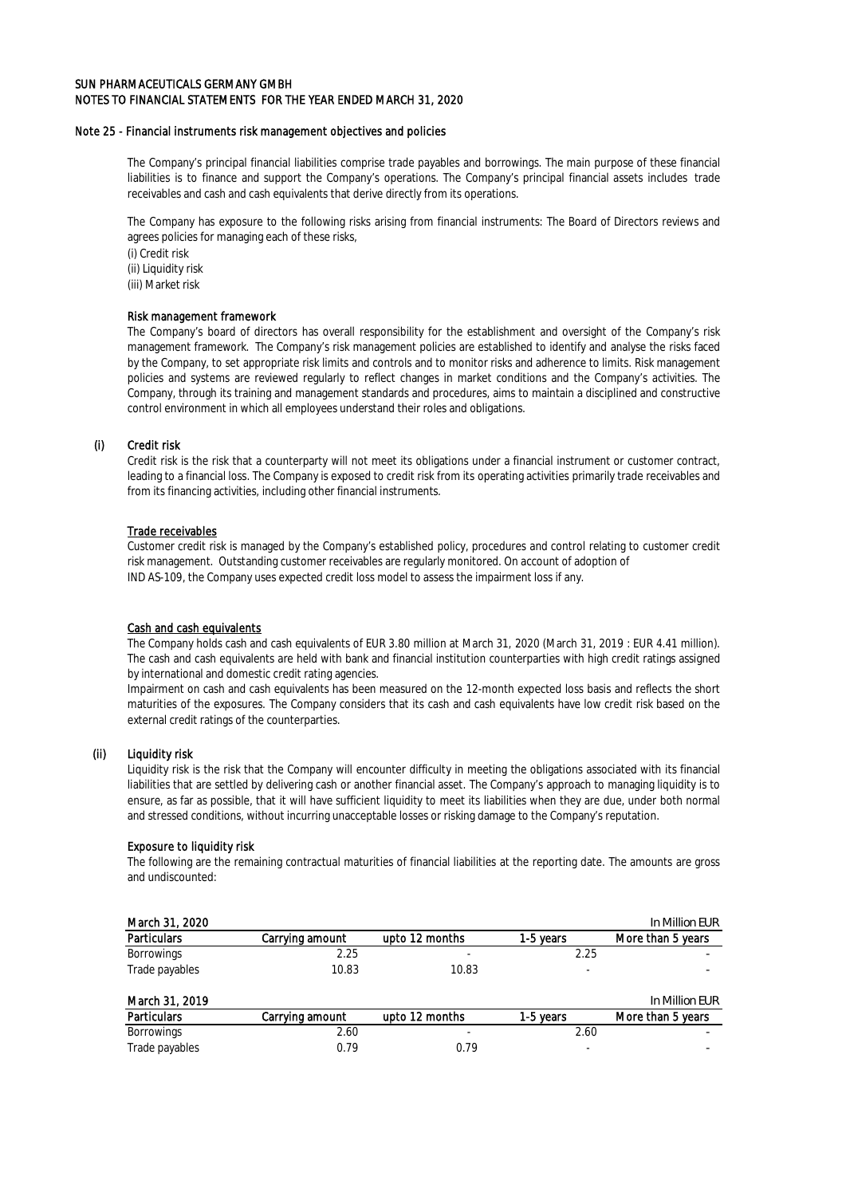#### Note 25 - Financial instruments risk management objectives and policies

The Company's principal financial liabilities comprise trade payables and borrowings. The main purpose of these financial liabilities is to finance and support the Company's operations. The Company's principal financial assets includes trade receivables and cash and cash equivalents that derive directly from its operations.

The Company has exposure to the following risks arising from financial instruments: The Board of Directors reviews and agrees policies for managing each of these risks,

(i) Credit risk (ii) Liquidity risk (iii) Market risk

#### Risk management framework

The Company's board of directors has overall responsibility for the establishment and oversight of the Company's risk management framework. The Company's risk management policies are established to identify and analyse the risks faced by the Company, to set appropriate risk limits and controls and to monitor risks and adherence to limits. Risk management policies and systems are reviewed regularly to reflect changes in market conditions and the Company's activities. The Company, through its training and management standards and procedures, aims to maintain a disciplined and constructive control environment in which all employees understand their roles and obligations.

#### (i) Credit risk

Credit risk is the risk that a counterparty will not meet its obligations under a financial instrument or customer contract, leading to a financial loss. The Company is exposed to credit risk from its operating activities primarily trade receivables and from its financing activities, including other financial instruments.

#### Trade receivables

Customer credit risk is managed by the Company's established policy, procedures and control relating to customer credit risk management. Outstanding customer receivables are regularly monitored. On account of adoption of IND AS-109, the Company uses expected credit loss model to assess the impairment loss if any.

#### Cash and cash equivalents

The Company holds cash and cash equivalents of EUR 3.80 million at March 31, 2020 (March 31, 2019 : EUR 4.41 million). The cash and cash equivalents are held with bank and financial institution counterparties with high credit ratings assigned by international and domestic credit rating agencies.

Impairment on cash and cash equivalents has been measured on the 12-month expected loss basis and reflects the short maturities of the exposures. The Company considers that its cash and cash equivalents have low credit risk based on the external credit ratings of the counterparties.

#### (ii) Liquidity risk

Liquidity risk is the risk that the Company will encounter difficulty in meeting the obligations associated with its financial liabilities that are settled by delivering cash or another financial asset. The Company's approach to managing liquidity is to ensure, as far as possible, that it will have sufficient liquidity to meet its liabilities when they are due, under both normal and stressed conditions, without incurring unacceptable losses or risking damage to the Company's reputation.

#### Exposure to liquidity risk

The following are the remaining contractual maturities of financial liabilities at the reporting date. The amounts are gross and undiscounted:

| March 31, 2020     |                 |                |           | In Million EUR    |
|--------------------|-----------------|----------------|-----------|-------------------|
| <b>Particulars</b> | Carrying amount | upto 12 months | 1-5 years | More than 5 years |
| <b>Borrowings</b>  | 2.25            |                | 2.25      |                   |
| Trade payables     | 10.83           | 10.83          |           |                   |
| March 31, 2019     |                 |                |           | In Million EUR    |
| <b>Particulars</b> | Carrying amount | upto 12 months | 1-5 years | More than 5 years |
| <b>Borrowings</b>  | 2.60            |                | 2.60      |                   |
| Trade payables     | 0.79            | 0.79           |           |                   |